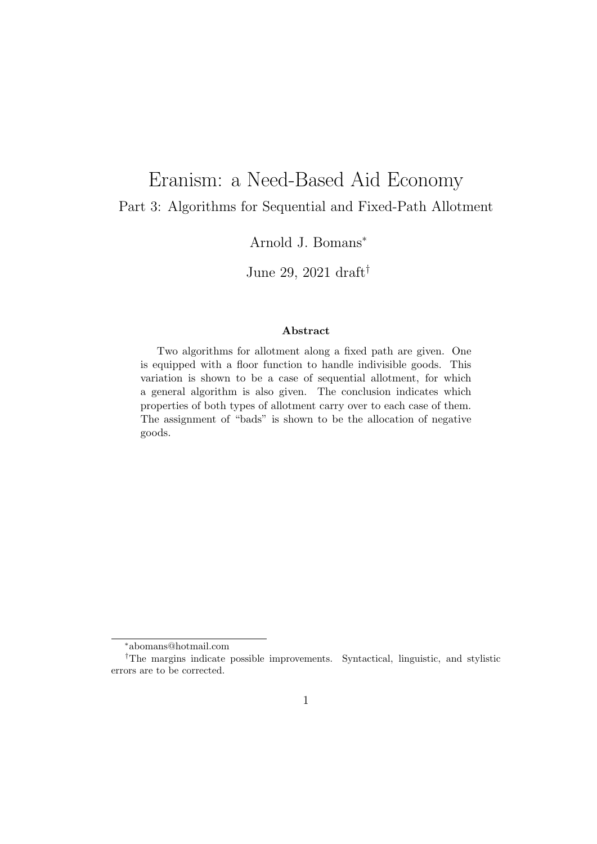# Eranism: a Need-Based Aid Economy Part 3: Algorithms for Sequential and Fixed-Path Allotment

## Arnold J. Bomans<sup>∗</sup>

June 29, 2021 draft†

#### Abstract

Two algorithms for allotment along a fixed path are given. One is equipped with a floor function to handle indivisible goods. This variation is shown to be a case of sequential allotment, for which a general algorithm is also given. The conclusion indicates which properties of both types of allotment carry over to each case of them. The assignment of "bads" is shown to be the allocation of negative goods.

<sup>∗</sup>abomans@hotmail.com

<sup>†</sup>The margins indicate possible improvements. Syntactical, linguistic, and stylistic errors are to be corrected.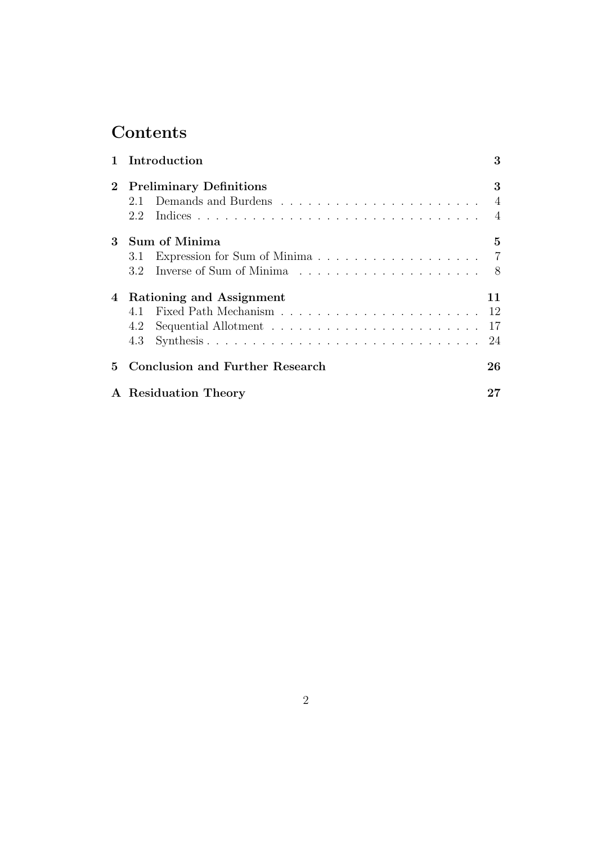# **Contents**

|   | 1 Introduction                         | 3              |
|---|----------------------------------------|----------------|
|   | 2 Preliminary Definitions              | 3              |
|   | 2.1                                    | $\overline{4}$ |
|   | 2.2                                    | $\overline{4}$ |
| 3 | Sum of Minima                          | $5^{\circ}$    |
|   | 3.1                                    |                |
|   | 3.2                                    | - 8            |
|   | 4 Rationing and Assignment             | 11             |
|   |                                        |                |
|   | 4.2                                    |                |
|   | Synthesis<br>4.3                       | 24             |
| 5 | <b>Conclusion and Further Research</b> | 26             |
|   | A Residuation Theory                   | 27             |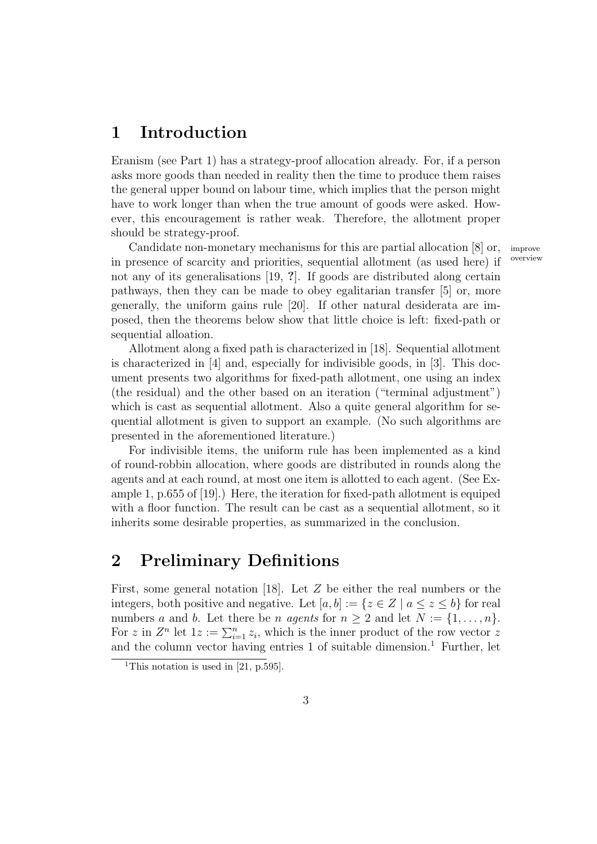## 1 Introduction

Eranism (see Part 1) has a strategy-proof allocation already. For, if a person asks more goods than needed in reality then the time to produce them raises the general upper bound on labour time, which implies that the person might have to work longer than when the true amount of goods were asked. However, this encouragement is rather weak. Therefore, the allotment proper should be strategy-proof.

Candidate non-monetary mechanisms for this are partial allocation  $[8]$  or, improve or concerned allocation of convenient  $(9, \text{mod hor})$  if overview in presence of scarcity and priorities, sequential allotment (as used here) if not any of its generalisations [19, ?]. If goods are distributed along certain pathways, then they can be made to obey egalitarian transfer [5] or, more generally, the uniform gains rule [20]. If other natural desiderata are imposed, then the theorems below show that little choice is left: fixed-path or sequential alloation.

Allotment along a fixed path is characterized in [18]. Sequential allotment is characterized in [4] and, especially for indivisible goods, in [3]. This document presents two algorithms for fixed-path allotment, one using an index (the residual) and the other based on an iteration ("terminal adjustment") which is cast as sequential allotment. Also a quite general algorithm for sequential allotment is given to support an example. (No such algorithms are presented in the aforementioned literature.)

For indivisible items, the uniform rule has been implemented as a kind of round-robbin allocation, where goods are distributed in rounds along the agents and at each round, at most one item is allotted to each agent. (See Example 1, p.655 of [19].) Here, the iteration for fixed-path allotment is equiped with a floor function. The result can be cast as a sequential allotment, so it inherits some desirable properties, as summarized in the conclusion.

# 2 Preliminary Definitions

First, some general notation [18]. Let Z be either the real numbers or the integers, both positive and negative. Let  $[a, b] := \{z \in \mathbb{Z} \mid a \leq z \leq b\}$  for real numbers a and b. Let there be n agents for  $n \geq 2$  and let  $N := \{1, \ldots, n\}.$ For z in  $Z^n$  let  $1z := \sum_{i=1}^n z_i$ , which is the inner product of the row vector z and the column vector having entries  $1$  of suitable dimension.<sup>1</sup> Further, let

<sup>&</sup>lt;sup>1</sup>This notation is used in [21, p.595].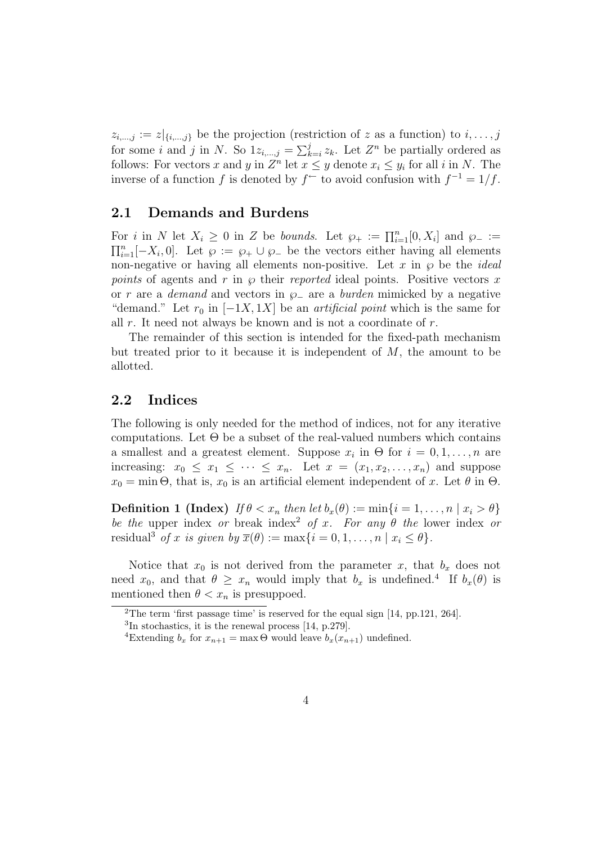$z_{i,\dots,j} := z|_{\{i,\dots,j\}}$  be the projection (restriction of z as a function) to  $i,\dots,j$ for some *i* and *j* in N. So  $1z_{i,\dots,j} = \sum_{k=i}^{j} z_k$ . Let  $Z^n$  be partially ordered as follows: For vectors x and y in  $Z^n$  let  $x \leq y$  denote  $x_i \leq y_i$  for all i in N. The inverse of a function f is denoted by  $f^{\text{-}}$  to avoid confusion with  $f^{-1} = 1/f$ .

### 2.1 Demands and Burdens

For i in N let  $X_i \geq 0$  in Z be bounds. Let  $\wp_+ := \prod_{i=1}^n [0, X_i]$  and  $\wp_- :=$  $\prod_{i=1}^n [-X_i, 0]$ . Let  $\wp := \wp_+ \cup \wp_-$  be the vectors either having all elements non-negative or having all elements non-positive. Let x in  $\wp$  be the *ideal* points of agents and r in  $\varphi$  their reported ideal points. Positive vectors x or r are a demand and vectors in  $\wp_$  are a burden mimicked by a negative "demand." Let  $r_0$  in  $[-1X, 1X]$  be an *artificial point* which is the same for all  $r$ . It need not always be known and is not a coordinate of  $r$ .

The remainder of this section is intended for the fixed-path mechanism but treated prior to it because it is independent of  $M$ , the amount to be allotted.

## 2.2 Indices

The following is only needed for the method of indices, not for any iterative computations. Let  $\Theta$  be a subset of the real-valued numbers which contains a smallest and a greatest element. Suppose  $x_i$  in  $\Theta$  for  $i = 0, 1, \ldots, n$  are increasing:  $x_0 \leq x_1 \leq \cdots \leq x_n$ . Let  $x = (x_1, x_2, \ldots, x_n)$  and suppose  $x_0 = \min \Theta$ , that is,  $x_0$  is an artificial element independent of x. Let  $\theta$  in  $\Theta$ .

**Definition 1 (Index)** If  $\theta < x_n$  then let  $b_x(\theta) := \min\{i = 1, \ldots, n \mid x_i > \theta\}$ be the upper index or break index<sup>2</sup> of x. For any  $\theta$  the lower index or residual<sup>3</sup> of x is given by  $\overline{x}(\theta) := \max\{i = 0, 1, \ldots, n \mid x_i \leq \theta\}.$ 

Notice that  $x_0$  is not derived from the parameter x, that  $b_x$  does not need  $x_0$ , and that  $\theta \geq x_n$  would imply that  $b_x$  is undefined.<sup>4</sup> If  $b_x(\theta)$  is mentioned then  $\theta < x_n$  is presuppoed.

<sup>2</sup>The term 'first passage time' is reserved for the equal sign [14, pp.121, 264].

<sup>3</sup> In stochastics, it is the renewal process [14, p.279].

<sup>&</sup>lt;sup>4</sup>Extending  $b_x$  for  $x_{n+1} = \max \Theta$  would leave  $b_x(x_{n+1})$  undefined.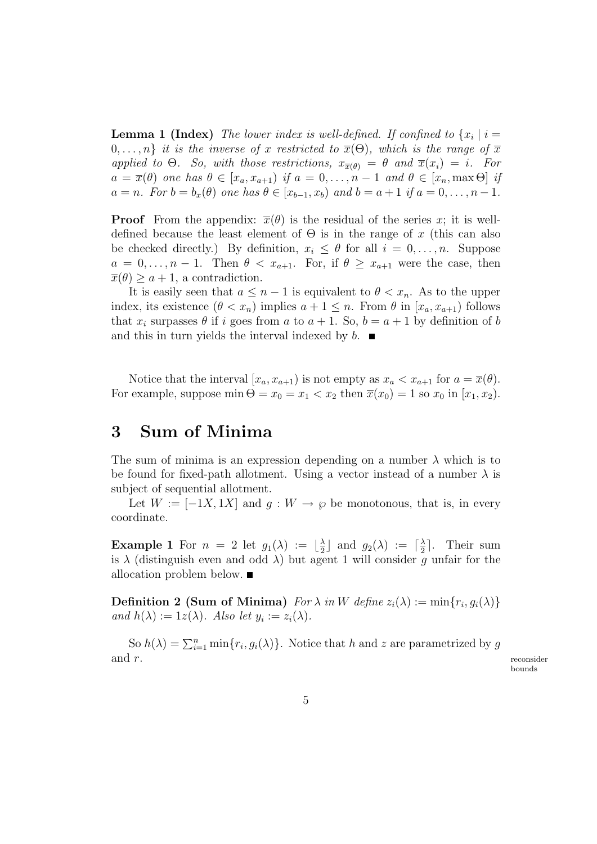**Lemma 1 (Index)** The lower index is well-defined. If confined to  $\{x_i \mid i =$  $0, \ldots, n$  it is the inverse of x restricted to  $\overline{x}(\Theta)$ , which is the range of  $\overline{x}$ applied to  $\Theta$ . So, with those restrictions,  $x_{\overline{x}(\theta)} = \theta$  and  $\overline{x}(x_i) = i$ . For  $a = \overline{x}(\theta)$  one has  $\theta \in [x_a, x_{a+1})$  if  $a = 0, \ldots, n-1$  and  $\theta \in [x_n, \max \Theta]$  if  $a = n$ . For  $b = b_x(\theta)$  one has  $\theta \in [x_{b-1}, x_b)$  and  $b = a+1$  if  $a = 0, \ldots, n-1$ .

**Proof** From the appendix:  $\overline{x}(\theta)$  is the residual of the series x; it is welldefined because the least element of  $\Theta$  is in the range of x (this can also be checked directly.) By definition,  $x_i \leq \theta$  for all  $i = 0, \ldots, n$ . Suppose  $a = 0, \ldots, n-1$ . Then  $\theta < x_{a+1}$ . For, if  $\theta \geq x_{a+1}$  were the case, then  $\overline{x}(\theta) \geq a+1$ , a contradiction.

It is easily seen that  $a \leq n-1$  is equivalent to  $\theta < x_n$ . As to the upper index, its existence  $(\theta < x_n)$  implies  $a + 1 \leq n$ . From  $\theta$  in  $[x_a, x_{a+1})$  follows that  $x_i$  surpasses  $\theta$  if i goes from a to  $a + 1$ . So,  $b = a + 1$  by definition of b and this in turn yields the interval indexed by  $b$ .

Notice that the interval  $[x_a, x_{a+1})$  is not empty as  $x_a < x_{a+1}$  for  $a = \overline{x}(\theta)$ . For example, suppose  $\min \Theta = x_0 = x_1 < x_2$  then  $\overline{x}(x_0) = 1$  so  $x_0$  in  $[x_1, x_2)$ .

## 3 Sum of Minima

The sum of minima is an expression depending on a number  $\lambda$  which is to be found for fixed-path allotment. Using a vector instead of a number  $\lambda$  is subject of sequential allotment.

Let  $W := [-1X, 1X]$  and  $g : W \to \varphi$  be monotonous, that is, in every coordinate.

**Example 1** For  $n = 2$  let  $g_1(\lambda) := \lfloor \frac{\lambda}{2} \rfloor$  $\frac{\lambda}{2}$  and  $g_2(\lambda) := \lceil \frac{\lambda}{2} \rceil$  $\frac{\lambda}{2}$ . Their sum is  $\lambda$  (distinguish even and odd  $\lambda$ ) but agent 1 will consider g unfair for the allocation problem below.

**Definition 2 (Sum of Minima)** For  $\lambda$  in W define  $z_i(\lambda) := \min\{r_i, g_i(\lambda)\}\$ and  $h(\lambda) := 1z(\lambda)$ . Also let  $y_i := z_i(\lambda)$ .

So  $h(\lambda) = \sum_{i=1}^n \min\{r_i, g_i(\lambda)\}\$ . Notice that h and z are parametrized by g  $\text{and} \ \, r.$  reconsider

bounds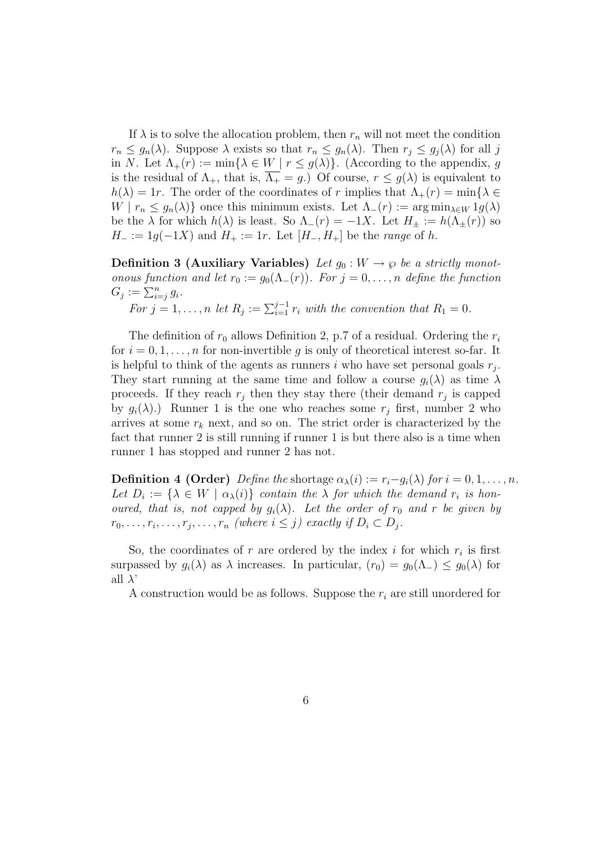If  $\lambda$  is to solve the allocation problem, then  $r_n$  will not meet the condition  $r_n \leq g_n(\lambda)$ . Suppose  $\lambda$  exists so that  $r_n \leq g_n(\lambda)$ . Then  $r_j \leq g_j(\lambda)$  for all j in N. Let  $\Lambda_+(r) := \min\{\lambda \in W \mid r \leq g(\lambda)\}\.$  (According to the appendix, g is the residual of  $\Lambda_+$ , that is,  $\overline{\Lambda_+} = g$ .) Of course,  $r \leq g(\lambda)$  is equivalent to  $h(\lambda) = 1r$ . The order of the coordinates of r implies that  $\Lambda_{+}(r) = \min\{\lambda \in$  $W | r_n \leq g_n(\lambda)$  once this minimum exists. Let  $\Lambda_-(r) := \arg \min_{\lambda \in W} 1 g(\lambda)$ be the  $\lambda$  for which  $h(\lambda)$  is least. So  $\Lambda_-(r) = -1X$ . Let  $H_{\pm} := h(\Lambda_{\pm}(r))$  so  $H_- := 1g(-1X)$  and  $H_+ := 1r$ . Let  $[H_-, H_+]$  be the *range* of h.

Definition 3 (Auxiliary Variables) Let  $g_0 : W \to \wp$  be a strictly monotonous function and let  $r_0 := g_0(\Lambda_-(r))$ . For  $j = 0, \ldots, n$  define the function  $G_j := \sum_{i=j}^n g_i$ .

For  $j = 1, \ldots, n$  let  $R_j := \sum_{i=1}^{j-1} r_i$  with the convention that  $R_1 = 0$ .

The definition of  $r_0$  allows Definition 2, p.7 of a residual. Ordering the  $r_i$ for  $i = 0, 1, \ldots, n$  for non-invertible g is only of theoretical interest so-far. It is helpful to think of the agents as runners  $i$  who have set personal goals  $r_j$ . They start running at the same time and follow a course  $g_i(\lambda)$  as time  $\lambda$ proceeds. If they reach  $r_j$  then they stay there (their demand  $r_j$  is capped by  $g_i(\lambda)$ .) Runner 1 is the one who reaches some  $r_j$  first, number 2 who arrives at some  $r_k$  next, and so on. The strict order is characterized by the fact that runner 2 is still running if runner 1 is but there also is a time when runner 1 has stopped and runner 2 has not.

**Definition 4 (Order)** Define the shortage  $\alpha_{\lambda}(i) := r_i - q_i(\lambda)$  for  $i = 0, 1, ..., n$ . Let  $D_i := \{ \lambda \in W \mid \alpha_{\lambda}(i) \}$  contain the  $\lambda$  for which the demand  $r_i$  is honoured, that is, not capped by  $g_i(\lambda)$ . Let the order of  $r_0$  and r be given by  $r_0, \ldots, r_i, \ldots, r_j, \ldots, r_n$  (where  $i \leq j$ ) exactly if  $D_i \subset D_j$ .

So, the coordinates of r are ordered by the index i for which  $r_i$  is first surpassed by  $g_i(\lambda)$  as  $\lambda$  increases. In particular,  $(r_0) = g_0(\Lambda_-) \leq g_0(\lambda)$  for all  $\lambda$ '

A construction would be as follows. Suppose the  $r_i$  are still unordered for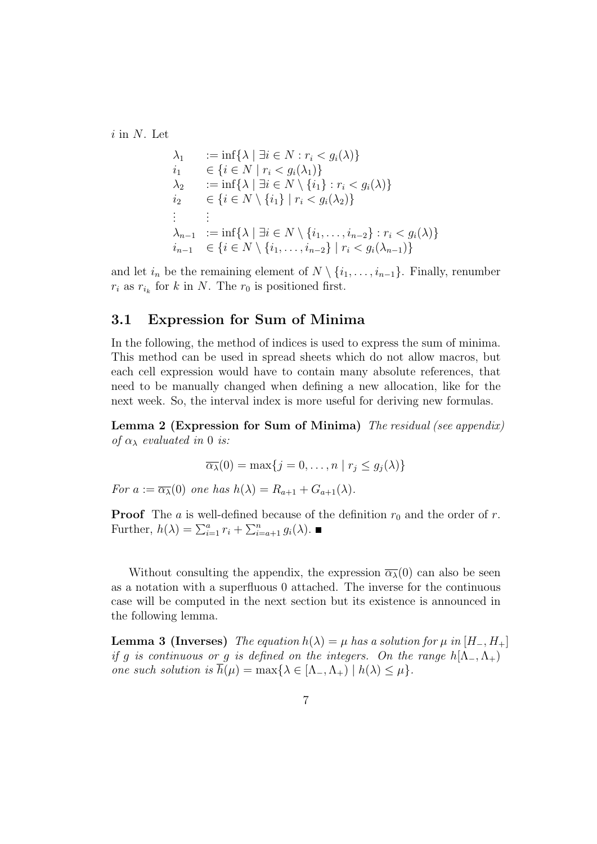$i$  in N. Let

$$
\lambda_1 := \inf \{ \lambda \mid \exists i \in N : r_i < g_i(\lambda) \} \n i_1 \in \{ i \in N \mid r_i < g_i(\lambda_1) \} \n \lambda_2 := \inf \{ \lambda \mid \exists i \in N \setminus \{i_1\} : r_i < g_i(\lambda) \} \n i_2 \in \{ i \in N \setminus \{i_1\} \mid r_i < g_i(\lambda_2) \} \n \vdots :=\n \lambda_{n-1} := \inf \{ \lambda \mid \exists i \in N \setminus \{i_1, \ldots, i_{n-2}\} : r_i < g_i(\lambda) \} \n i_{n-1} \in \{ i \in N \setminus \{i_1, \ldots, i_{n-2}\} \mid r_i < g_i(\lambda_{n-1}) \}
$$

and let  $i_n$  be the remaining element of  $N \setminus \{i_1, \ldots, i_{n-1}\}.$  Finally, renumber  $r_i$  as  $r_{i_k}$  for k in N. The  $r_0$  is positioned first.

## 3.1 Expression for Sum of Minima

In the following, the method of indices is used to express the sum of minima. This method can be used in spread sheets which do not allow macros, but each cell expression would have to contain many absolute references, that need to be manually changed when defining a new allocation, like for the next week. So, the interval index is more useful for deriving new formulas.

Lemma 2 (Expression for Sum of Minima) The residual (see appendix) of  $\alpha_{\lambda}$  evaluated in 0 is:

$$
\overline{\alpha_{\lambda}}(0) = \max\{j = 0, \ldots, n \mid r_j \le g_j(\lambda)\}\
$$

For  $a := \overline{\alpha_{\lambda}}(0)$  one has  $h(\lambda) = R_{a+1} + G_{a+1}(\lambda)$ .

**Proof** The a is well-defined because of the definition  $r_0$  and the order of r. Further,  $h(\lambda) = \sum_{i=1}^{a} r_i + \sum_{i=a+1}^{n} g_i(\lambda)$ .

Without consulting the appendix, the expression  $\overline{\alpha_{\lambda}}(0)$  can also be seen as a notation with a superfluous 0 attached. The inverse for the continuous case will be computed in the next section but its existence is announced in the following lemma.

**Lemma 3 (Inverses)** The equation  $h(\lambda) = \mu$  has a solution for  $\mu$  in  $[H_-, H_+]$ if g is continuous or g is defined on the integers. On the range  $h(\Lambda_-, \Lambda_+)$ one such solution is  $\overline{h}(\mu) = \max\{\lambda \in [\Lambda_-, \Lambda_+) \mid h(\lambda) \leq \mu\}.$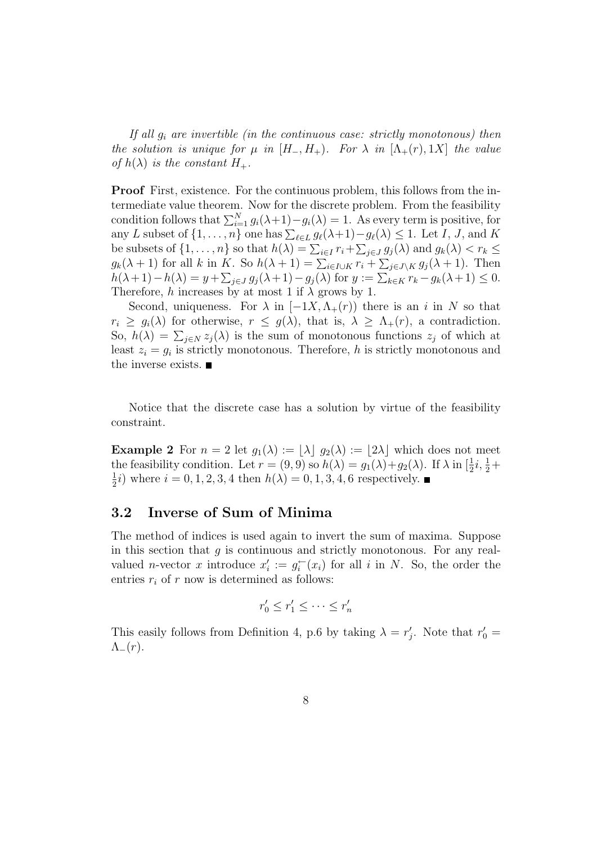If all  $g_i$  are invertible (in the continuous case: strictly monotonous) then the solution is unique for  $\mu$  in  $[H_-, H_+)_r$ . For  $\lambda$  in  $[\Lambda_+(r), 1X]$  the value of  $h(\lambda)$  is the constant  $H_+$ .

Proof First, existence. For the continuous problem, this follows from the intermediate value theorem. Now for the discrete problem. From the feasibility condition follows that  $\sum_{i=1}^{N} g_i(\lambda+1) - g_i(\lambda) = 1$ . As every term is positive, for any L subset of  $\{1, \ldots, n\}$  one has  $\sum_{\ell \in L} g_{\ell}(\lambda+1) - g_{\ell}(\lambda) \leq 1$ . Let I, J, and K be subsets of  $\{1, \ldots, n\}$  so that  $h(\lambda) = \sum_{i \in I} r_i + \sum_{j \in J} g_j(\lambda)$  and  $g_k(\lambda) < r_k \le$  $g_k(\lambda+1)$  for all k in K. So  $h(\lambda+1) = \sum_{i \in I \cup K} r_i + \sum_{j \in J \setminus K} g_j(\lambda+1)$ . Then  $h(\lambda + 1) - h(\lambda) = y + \sum_{j \in J} g_j(\lambda + 1) - g_j(\lambda)$  for  $y := \sum_{k \in K} r_k - g_k(\lambda + 1) \leq 0$ . Therefore, h increases by at most 1 if  $\lambda$  grows by 1.

Second, uniqueness. For  $\lambda$  in  $[-1X, \Lambda_+(r))$  there is an i in N so that  $r_i \geq g_i(\lambda)$  for otherwise,  $r \leq g(\lambda)$ , that is,  $\lambda \geq \Lambda_+(r)$ , a contradiction. So,  $h(\lambda) = \sum_{j \in N} z_j(\lambda)$  is the sum of monotonous functions  $z_j$  of which at least  $z_i = g_i$  is strictly monotonous. Therefore, h is strictly monotonous and the inverse exists.

Notice that the discrete case has a solution by virtue of the feasibility constraint.

**Example 2** For  $n = 2$  let  $g_1(\lambda) := |\lambda| g_2(\lambda) := |2\lambda|$  which does not meet the feasibility condition. Let  $r = (9, 9)$  so  $h(\lambda) = g_1(\lambda) + g_2(\lambda)$ . If  $\lambda$  in  $\left[\frac{1}{2}i, \frac{1}{2} + \frac{1}{2}\right]$ 1  $(\frac{1}{2}i)$  where  $i = 0, 1, 2, 3, 4$  then  $h(\lambda) = 0, 1, 3, 4, 6$  respectively.

### 3.2 Inverse of Sum of Minima

The method of indices is used again to invert the sum of maxima. Suppose in this section that  $g$  is continuous and strictly monotonous. For any realvalued *n*-vector x introduce  $x_i'$  $i' := g_i^{\leftarrow}$  $i_i^-(x_i)$  for all i in N. So, the order the entries  $r_i$  of r now is determined as follows:

$$
r'_0 \le r'_1 \le \cdots \le r'_n
$$

This easily follows from Definition 4, p.6 by taking  $\lambda = r'$ . '<sub>j</sub>. Note that  $r'_0 =$  $\Lambda_-(r)$ .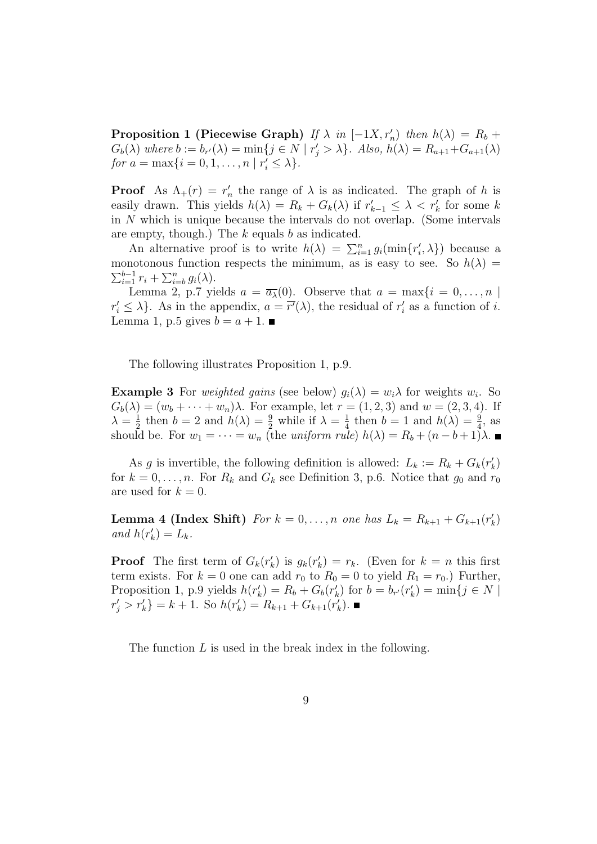**Proposition 1 (Piecewise Graph)** If  $\lambda$  in  $[-1X, r'_n]$  then  $h(\lambda) = R_b +$  $G_b(\lambda)$  where  $b := b_{r'}(\lambda) = \min\{j \in N \mid r'_j > \lambda\}$ . Also,  $h(\lambda) = R_{a+1} + G_{a+1}(\lambda)$ for  $a = \max\{i = 0, 1, ..., n \mid r'_i \leq \lambda\}.$ 

**Proof** As  $\Lambda_+(r) = r'_r$ he range of  $\lambda$  is as indicated. The graph of h is easily drawn. This yields  $h(\lambda) = R_k + G_k(\lambda)$  if  $r'_{k-1} \leq \lambda < r'_{k}$  for some k in N which is unique because the intervals do not overlap. (Some intervals are empty, though.) The  $k$  equals  $b$  as indicated.

An alternative proof is to write  $h(\lambda) = \sum_{i=1}^{n} g_i(\min\{r'_i\})$  $\langle i, \lambda \}$ ) because a monotonous function respects the minimum, as is easy to see. So  $h(\lambda)$  =  $\sum_{i=1}^{b-1} r_i + \sum_{i=b}^{n} g_i(\lambda)$ .

Lemma 2, p.7 yields  $a = \overline{a_{\lambda}}(0)$ . Observe that  $a = \max\{i = 0, ..., n\}$  $r'_i \leq \lambda$ . As in the appendix,  $a = \overline{r'}(\lambda)$ , the residual of  $r'_i$  $i_i$  as a function of i. Lemma 1, p.5 gives  $b = a + 1$ .

The following illustrates Proposition 1, p.9.

**Example 3** For *weighted gains* (see below)  $g_i(\lambda) = w_i \lambda$  for weights  $w_i$ . So  $G_b(\lambda) = (w_b + \cdots + w_n)\lambda$ . For example, let  $r = (1, 2, 3)$  and  $w = (2, 3, 4)$ . If  $\lambda = \frac{1}{2}$  $\frac{1}{2}$  then  $b = 2$  and  $h(\lambda) = \frac{9}{2}$  while if  $\lambda = \frac{1}{4}$  $\frac{1}{4}$  then  $b = 1$  and  $h(\lambda) = \frac{9}{4}$ , as should be. For  $w_1 = \cdots = w_n$  (the uniform rule)  $h(\lambda) = R_b + (n - b + 1)\lambda$ .

As g is invertible, the following definition is allowed:  $L_k := R_k + G_k(r)$  $\binom{k}{k}$ for  $k = 0, \ldots, n$ . For  $R_k$  and  $G_k$  see Definition 3, p.6. Notice that  $g_0$  and  $r_0$ are used for  $k = 0$ .

**Lemma 4 (Index Shift)** For  $k = 0, \ldots, n$  one has  $L_k = R_{k+1} + G_{k+1}(r)$  $\binom{k}{k}$ and  $h(r'_{k})$  $'_{k})=L_{k}.$ 

**Proof** The first term of  $G_k(r)$  $g_k(r)$  is  $g_k(r)$  $k'$  =  $r_k$ . (Even for  $k = n$  this first term exists. For  $k = 0$  one can add  $r_0$  to  $R_0 = 0$  to yield  $R_1 = r_0$ .) Further, Proposition 1, p.9 yields  $h(r'_k)$  $k_{k}^{'}$ ) =  $R_{b} + G_{b}(r_{k}^{'})$  $b'_{k}$ ) for  $b = b_{r'}(r'_{k})$  $k'$ <sub>k</sub> $)$  = min{ $j \in N$  |  $r'_j > r'_k$ } = k + 1. So  $h(r'_k)$  $R_{k}(r) = R_{k+1} + G_{k+1}(r)$  $\binom{k}{k}$ .

The function L is used in the break index in the following.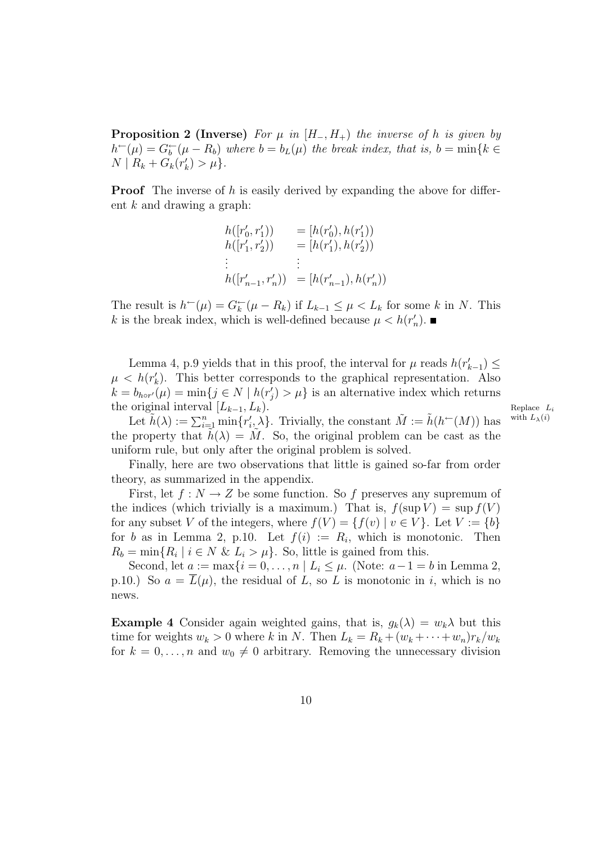**Proposition 2 (Inverse)** For  $\mu$  in  $(H_-, H_+)$  the inverse of h is given by  $h^-(\mu) = G_b^-(\mu - R_b)$  where  $b = b_L(\mu)$  the break index, that is,  $b = \min\{k \in$  $N \mid R_k + G_k(r'_k)$  $'_{k}) > \mu$ .

**Proof** The inverse of h is easily derived by expanding the above for different k and drawing a graph:

$$
\begin{array}{ll} h([r'_0,r'_1))&= [h(r'_0),h(r'_1))\\ h([r'_1,r'_2))&= [h(r'_1),h(r'_2))\\ &\vdots&\vdots\\ h([r'_{n-1},r'_n))&= [h(r'_{n-1}),h(r'_n)) \end{array}
$$

The result is  $h^-(\mu) = G_k^-(\mu - R_k)$  if  $L_{k-1} \leq \mu < L_k$  for some k in N. This k is the break index, which is well-defined because  $\mu < h(r'_i)$  $'_{n}).$ 

Lemma 4, p.9 yields that in this proof, the interval for  $\mu$  reads  $h(r'_{k-1}) \leq$  $\mu \, < \, h(r'_\ell)$  $k$ ). This better corresponds to the graphical representation. Also  $\hat{k} = b_{hor'}(\mu) = \min\{j \in N \mid h(r_j)$  $\left\langle \mu_j \right\rangle > \mu$  is an alternative index which returns the original interval  $[L_{k-1}, L_k)$ .<br>
Let  $\tilde{h}(\lambda) := \sum_{m=1}^n \min_{x' \geq \lambda} L_k$ . Trivially the constant  $\tilde{M} := \tilde{h}(h \in (M))$  has with  $L_{\lambda}(i)$ .

Let  $\tilde{h}(\lambda) := \sum_{i=1}^n \min\{r'_i, \lambda\}.$  Trivially, the constant  $\tilde{M} := \tilde{h}(h^-(M))$  has with  $L_\lambda(i)$  $i, \hat{\lambda}$ . Trivially, the constant  $\tilde{M} := \tilde{h}(h^{\leftarrow}(M))$  has the property that  $h(\lambda) = M$ . So, the original problem can be cast as the uniform rule, but only after the original problem is solved.

Finally, here are two observations that little is gained so-far from order theory, as summarized in the appendix.

First, let  $f: N \to Z$  be some function. So f preserves any supremum of the indices (which trivially is a maximum.) That is,  $f(\sup V) = \sup f(V)$ for any subset V of the integers, where  $f(V) = \{f(v) | v \in V\}$ . Let  $V := \{b\}$ for b as in Lemma 2, p.10. Let  $f(i) := R_i$ , which is monotonic. Then  $R_b = \min\{R_i \mid i \in N \& L_i > \mu\}.$  So, little is gained from this.

Second, let  $a := \max\{i = 0, \ldots, n \mid L_i \leq \mu$ . (Note:  $a - 1 = b$  in Lemma 2, p.10.) So  $a = \overline{L}(\mu)$ , the residual of L, so L is monotonic in i, which is no news.

**Example 4** Consider again weighted gains, that is,  $q_k(\lambda) = w_k \lambda$  but this time for weights  $w_k > 0$  where k in N. Then  $L_k = R_k + (w_k + \cdots + w_n)r_k/w_k$ for  $k = 0, \ldots, n$  and  $w_0 \neq 0$  arbitrary. Removing the unnecessary division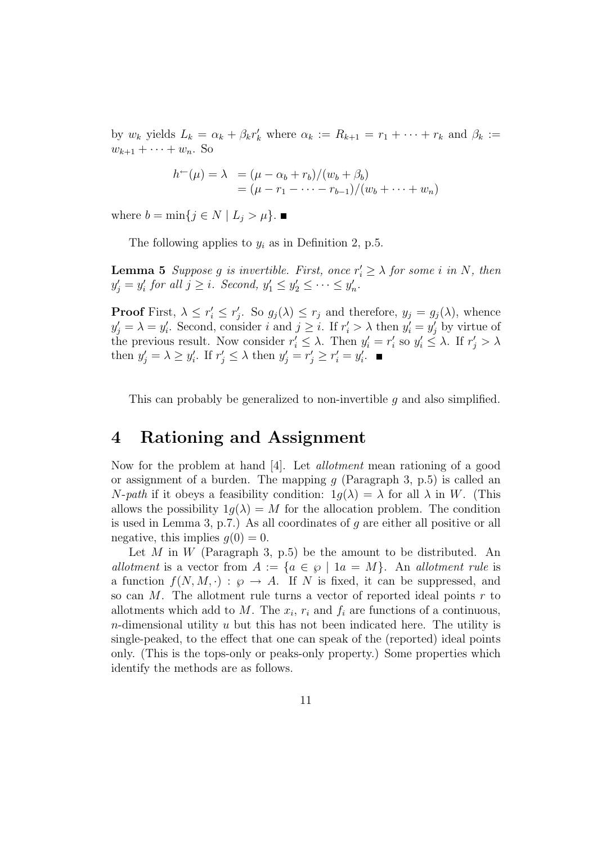by  $w_k$  yields  $L_k = \alpha_k + \beta_k r'_k$  where  $\alpha_k := R_{k+1} = r_1 + \cdots + r_k$  and  $\beta_k :=$  $w_{k+1} + \cdots + w_n$ . So

$$
h^-(\mu) = \lambda = (\mu - \alpha_b + r_b)/(w_b + \beta_b)
$$
  
=  $(\mu - r_1 - \dots - r_{b-1})/(w_b + \dots + w_n)$ 

where  $b = \min\{j \in N \mid L_j > \mu\}$ .

The following applies to  $y_i$  as in Definition 2, p.5.

**Lemma 5** Suppose g is invertible. First, once  $r'_i \geq \lambda$  for some i in N, then  $y'_j = y'_i$  $y'_i$  for all  $j \geq i$ . Second,  $y'_1 \leq y'_2 \leq \cdots \leq y'_n$  $_n'$ .

**Proof** First,  $\lambda \leq r'_i \leq r'_j$ . So  $g_j(\lambda) \leq r_j$  and therefore,  $y_j = g_j(\lambda)$ , whence j  $y'_j = \lambda = y'_i$ 's. Second, consider i and  $j \geq i$ . If  $r'_i > \lambda$  then  $y'_i = y'_j$  by virtue of the previous result. Now consider  $r'_i \leq \lambda$ . Then  $y'_i = r'_i$  $y'_i$  so  $y'_i \leq \lambda$ . If  $r'_j > \lambda$ then  $y'_j = \lambda \ge y'_i$ ''
i. If  $r'_j \leq \lambda$  then  $y'_j = r'_j \geq r'_i = y'_i$  $\frac{'}{i}$ .

This can probably be generalized to non-invertible  $q$  and also simplified.

## 4 Rationing and Assignment

Now for the problem at hand [4]. Let allotment mean rationing of a good or assignment of a burden. The mapping  $g$  (Paragraph 3, p.5) is called an  $N$ -path if it obeys a feasibility condition:  $1q(\lambda) = \lambda$  for all  $\lambda$  in W. (This allows the possibility  $1g(\lambda) = M$  for the allocation problem. The condition is used in Lemma 3, p.7.) As all coordinates of q are either all positive or all negative, this implies  $q(0) = 0$ .

Let  $M$  in  $W$  (Paragraph 3, p.5) be the amount to be distributed. An allotment is a vector from  $A := \{a \in \emptyset \mid 1a = M\}$ . An allotment rule is a function  $f(N, M, \cdot) : \wp \to A$ . If N is fixed, it can be suppressed, and so can  $M$ . The allotment rule turns a vector of reported ideal points  $r$  to allotments which add to M. The  $x_i$ ,  $r_i$  and  $f_i$  are functions of a continuous, n-dimensional utility  $u$  but this has not been indicated here. The utility is single-peaked, to the effect that one can speak of the (reported) ideal points only. (This is the tops-only or peaks-only property.) Some properties which identify the methods are as follows.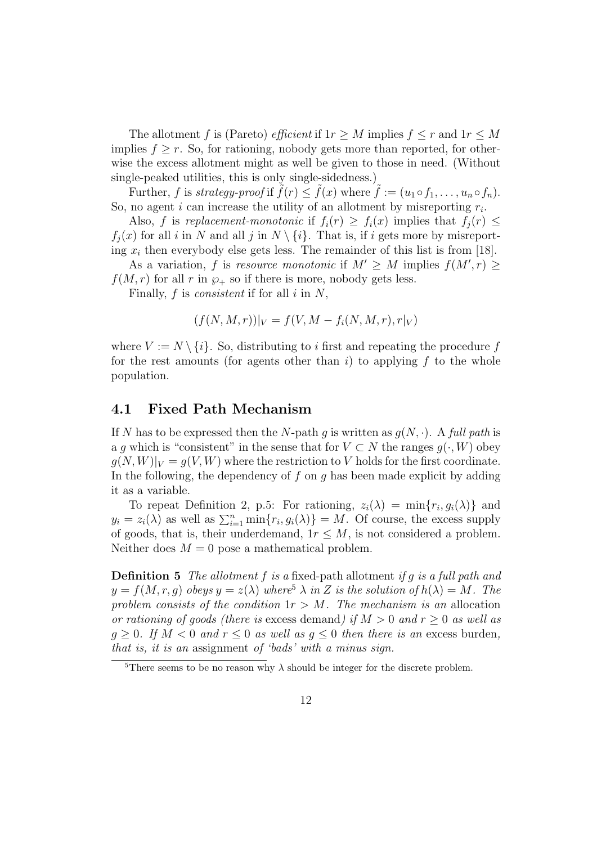The allotment f is (Pareto) *efficient* if  $1r \geq M$  implies  $f \leq r$  and  $1r \leq M$ implies  $f > r$ . So, for rationing, nobody gets more than reported, for otherwise the excess allotment might as well be given to those in need. (Without single-peaked utilities, this is only single-sidedness.)

Further, f is strategy-proof if  $\tilde{f}(r) \leq \tilde{f}(x)$  where  $\tilde{f} := (u_1 \circ f_1, \ldots, u_n \circ f_n)$ . So, no agent *i* can increase the utility of an allotment by misreporting  $r_i$ .

Also, f is replacement-monotonic if  $f_i(r) \geq f_i(x)$  implies that  $f_i(r) \leq$  $f_i(x)$  for all i in N and all j in  $N \setminus \{i\}$ . That is, if i gets more by misreporting  $x_i$  then everybody else gets less. The remainder of this list is from [18].

As a variation, f is resource monotonic if  $M' \geq M$  implies  $f(M', r) \geq$  $f(M,r)$  for all r in  $\wp_+$  so if there is more, nobody gets less.

Finally,  $f$  is *consistent* if for all  $i$  in  $N$ ,

$$
(f(N, M, r))|_{V} = f(V, M - f_i(N, M, r), r|_{V})
$$

where  $V := N \setminus \{i\}$ . So, distributing to i first and repeating the procedure f for the rest amounts (for agents other than i) to applying f to the whole population.

#### 4.1 Fixed Path Mechanism

If N has to be expressed then the N-path g is written as  $g(N, \cdot)$ . A full path is a q which is "consistent" in the sense that for  $V \subset N$  the ranges  $q(\cdot, W)$  obey  $g(N, W)|_V = g(V, W)$  where the restriction to V holds for the first coordinate. In the following, the dependency of  $f$  on  $g$  has been made explicit by adding it as a variable.

To repeat Definition 2, p.5: For rationing,  $z_i(\lambda) = \min\{r_i, g_i(\lambda)\}\$  and  $y_i = z_i(\lambda)$  as well as  $\sum_{i=1}^n \min\{r_i, g_i(\lambda)\} = M$ . Of course, the excess supply of goods, that is, their underdemand,  $1r \leq M$ , is not considered a problem. Neither does  $M = 0$  pose a mathematical problem.

**Definition 5** The allotment f is a fixed-path allotment if q is a full path and  $y = f(M, r, q)$  obeys  $y = z(\lambda)$  where<sup>5</sup>  $\lambda$  in Z is the solution of  $h(\lambda) = M$ . The problem consists of the condition  $1r > M$ . The mechanism is an allocation or rationing of goods (there is excess demand) if  $M > 0$  and  $r > 0$  as well as  $g \geq 0$ . If  $M < 0$  and  $r \leq 0$  as well as  $g \leq 0$  then there is an excess burden, that is, it is an assignment of 'bads' with a minus sign.

<sup>&</sup>lt;sup>5</sup>There seems to be no reason why  $\lambda$  should be integer for the discrete problem.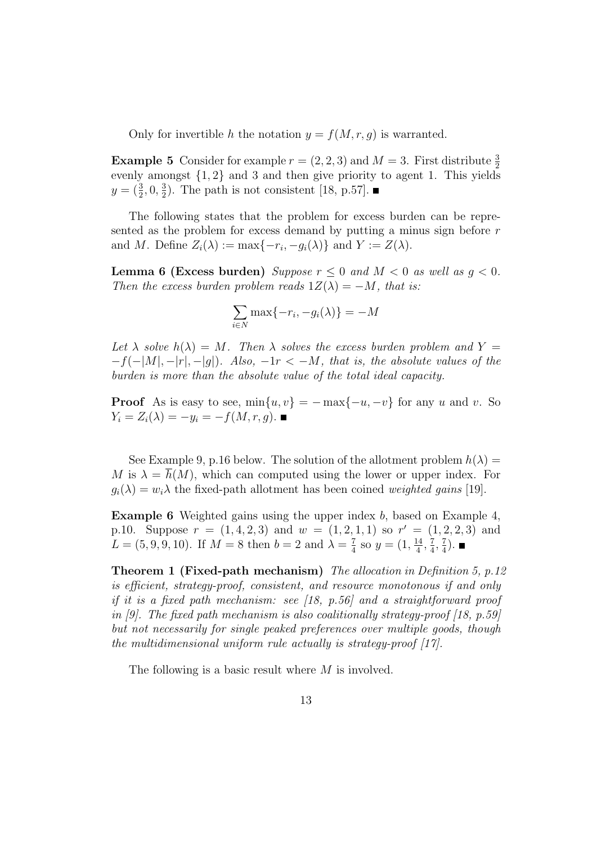Only for invertible h the notation  $y = f(M, r, g)$  is warranted.

**Example 5** Consider for example  $r = (2, 2, 3)$  and  $M = 3$ . First distribute  $\frac{3}{2}$ evenly amongst {1, 2} and 3 and then give priority to agent 1. This yields  $y = (\frac{3}{2}, 0, \frac{3}{2})$  $\frac{3}{2}$ ). The path is not consistent [18, p.57].

The following states that the problem for excess burden can be represented as the problem for excess demand by putting a minus sign before r and M. Define  $Z_i(\lambda) := \max\{-r_i, -g_i(\lambda)\}\$ and  $Y := Z(\lambda)$ .

**Lemma 6 (Excess burden)** Suppose  $r \leq 0$  and  $M < 0$  as well as  $q < 0$ . Then the excess burden problem reads  $1Z(\lambda) = -M$ , that is:

$$
\sum_{i \in N} \max\{-r_i, -g_i(\lambda)\} = -M
$$

Let  $\lambda$  solve  $h(\lambda) = M$ . Then  $\lambda$  solves the excess burden problem and  $Y =$  $-f(-|M|, -|r|, -|g|)$ . Also,  $-1r < -M$ , that is, the absolute values of the burden is more than the absolute value of the total ideal capacity.

**Proof** As is easy to see,  $\min\{u, v\} = -\max\{-u, -v\}$  for any u and v. So  $Y_i = Z_i(\lambda) = -y_i = -f(M, r, g)$ .

See Example 9, p.16 below. The solution of the allotment problem  $h(\lambda) =$ M is  $\lambda = h(M)$ , which can computed using the lower or upper index. For  $g_i(\lambda) = w_i \lambda$  the fixed-path allotment has been coined weighted gains [19].

**Example 6** Weighted gains using the upper index  $b$ , based on Example 4, p.10. Suppose  $r = (1, 4, 2, 3)$  and  $w = (1, 2, 1, 1)$  so  $r' = (1, 2, 2, 3)$  and  $L = (5, 9, 9, 10)$ . If  $M = 8$  then  $b = 2$  and  $\lambda = \frac{7}{4}$  $\frac{7}{4}$  so  $y = (1, \frac{14}{4})$  $\frac{14}{4}$ ,  $\frac{7}{4}$  $\frac{7}{4}, \frac{7}{4}$  $\frac{7}{4}$ .

Theorem 1 (Fixed-path mechanism) The allocation in Definition 5, p.12 is efficient, strategy-proof, consistent, and resource monotonous if and only if it is a fixed path mechanism: see [18, p.56] and a straightforward proof in [9]. The fixed path mechanism is also coalitionally strategy-proof [18, p.59] but not necessarily for single peaked preferences over multiple goods, though the multidimensional uniform rule actually is strategy-proof  $[17]$ .

The following is a basic result where M is involved.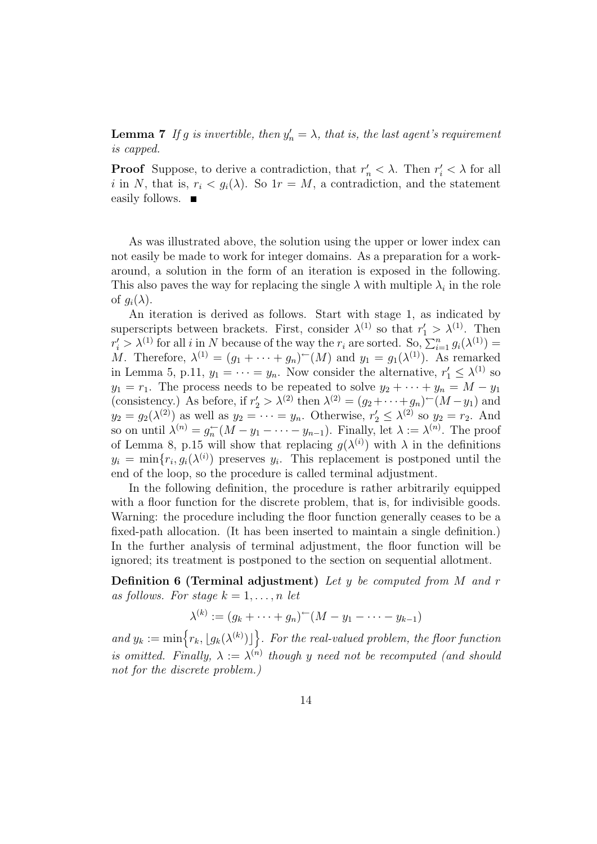**Lemma 7** If g is invertible, then  $y'_n = \lambda$ , that is, the last agent's requirement is capped.

**Proof** Suppose, to derive a contradiction, that  $r'_n < \lambda$ . Then  $r'_i < \lambda$  for all i in N, that is,  $r_i < q_i(\lambda)$ . So  $1r = M$ , a contradiction, and the statement easily follows. ■

As was illustrated above, the solution using the upper or lower index can not easily be made to work for integer domains. As a preparation for a workaround, a solution in the form of an iteration is exposed in the following. This also paves the way for replacing the single  $\lambda$  with multiple  $\lambda_i$  in the role of  $q_i(\lambda)$ .

An iteration is derived as follows. Start with stage 1, as indicated by superscripts between brackets. First, consider  $\lambda^{(1)}$  so that  $r'_1 > \lambda^{(1)}$ . Then  $r'_i > \lambda^{(1)}$  for all i in N because of the way the  $r_i$  are sorted. So,  $\sum_{i=1}^n g_i(\lambda^{(1)}) =$ M. Therefore,  $\lambda^{(1)} = (g_1 + \cdots + g_n)^{(-1)}(M)$  and  $y_1 = g_1(\lambda^{(1)})$ . As remarked in Lemma 5, p.11,  $y_1 = \cdots = y_n$ . Now consider the alternative,  $r'_1 \leq \lambda^{(1)}$  so  $y_1 = r_1$ . The process needs to be repeated to solve  $y_2 + \cdots + y_n = M - y_1$ (consistency.) As before, if  $r'_2 > \lambda^{(2)}$  then  $\lambda^{(2)} = (g_2 + \cdots + g_n) - (M - y_1)$  and  $y_2 = g_2(\lambda^{(2)})$  as well as  $y_2 = \cdots = y_n$ . Otherwise,  $r'_2 \leq \lambda^{(2)}$  so  $y_2 = r_2$ . And so on until  $\lambda^{(n)} = g_n^{\leftarrow}$  $n_n^-(M - y_1 - \cdots - y_{n-1})$ . Finally, let  $\lambda := \lambda^{(n)}$ . The proof of Lemma 8, p.15 will show that replacing  $g(\lambda^{(i)})$  with  $\lambda$  in the definitions  $y_i = \min\{r_i, g_i(\lambda^{(i)})\}$  preserves  $y_i$ . This replacement is postponed until the end of the loop, so the procedure is called terminal adjustment.

In the following definition, the procedure is rather arbitrarily equipped with a floor function for the discrete problem, that is, for indivisible goods. Warning: the procedure including the floor function generally ceases to be a fixed-path allocation. (It has been inserted to maintain a single definition.) In the further analysis of terminal adjustment, the floor function will be ignored; its treatment is postponed to the section on sequential allotment.

**Definition 6 (Terminal adjustment)** Let y be computed from  $M$  and  $r$ as follows. For stage  $k = 1, \ldots, n$  let

$$
\lambda^{(k)} := (g_k + \dots + g_n)^{-1}(M - y_1 - \dots - y_{k-1})
$$

and  $y_k := \min \{ r_k, \lfloor g_k(\lambda^{(k)}) \rfloor \}$ . For the real-valued problem, the floor function is omitted. Finally,  $\lambda := \lambda^{(n)}$  though y need not be recomputed (and should not for the discrete problem.)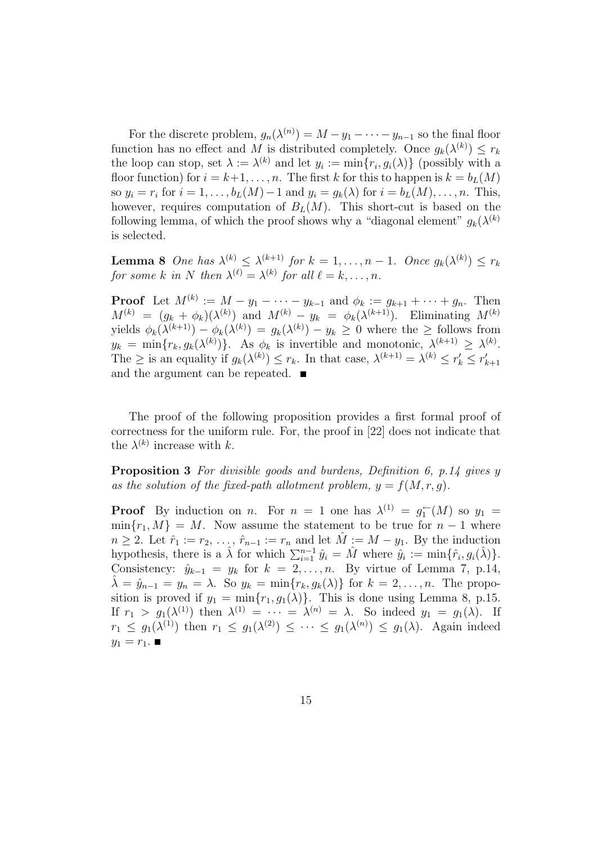For the discrete problem,  $g_n(\lambda^{(n)}) = M - y_1 - \cdots - y_{n-1}$  so the final floor function has no effect and M is distributed completely. Once  $g_k(\lambda^{(k)}) \leq r_k$ the loop can stop, set  $\lambda := \lambda^{(k)}$  and let  $y_i := \min\{r_i, g_i(\lambda)\}\)$  (possibly with a floor function) for  $i = k+1, \ldots, n$ . The first k for this to happen is  $k = b<sub>L</sub>(M)$ so  $y_i = r_i$  for  $i = 1, ..., b_L(M) - 1$  and  $y_i = g_k(\lambda)$  for  $i = b_L(M), ..., n$ . This, however, requires computation of  $B_L(M)$ . This short-cut is based on the following lemma, of which the proof shows why a "diagonal element"  $g_k(\lambda^{(k)})$ is selected.

**Lemma 8** One has  $\lambda^{(k)} \leq \lambda^{(k+1)}$  for  $k = 1, ..., n-1$ . Once  $g_k(\lambda^{(k)}) \leq r_k$ for some k in N then  $\lambda^{(\ell)} = \lambda^{(k)}$  for all  $\ell = k, \ldots, n$ .

**Proof** Let  $M^{(k)} := M - y_1 - \cdots - y_{k-1}$  and  $\phi_k := g_{k+1} + \cdots + g_n$ . Then  $M^{(k)} = (g_k + \phi_k)(\lambda^{(k)})$  and  $M^{(k)} - y_k = \phi_k(\lambda^{(k+1)})$ . Eliminating  $M^{(k)}$ yields  $\phi_k(\lambda^{(k+1)}) - \phi_k(\lambda^{(k)}) = g_k(\lambda^{(k)}) - y_k \geq 0$  where the  $\geq$  follows from  $y_k = \min\{r_k, g_k(\lambda^{(k)})\}.$  As  $\phi_k$  is invertible and monotonic,  $\lambda^{(k+1)} \geq \lambda^{(k)}$ . The  $\geq$  is an equality if  $g_k(\lambda^{(k)}) \leq r_k$ . In that case,  $\lambda^{(k+1)} = \lambda^{(k)} \leq r'_k \leq r'_k$  $k+1$ and the argument can be repeated.

The proof of the following proposition provides a first formal proof of correctness for the uniform rule. For, the proof in [22] does not indicate that the  $\lambda^{(k)}$  increase with k.

Proposition 3 For divisible goods and burdens, Definition 6, p.14 gives y as the solution of the fixed-path allotment problem,  $y = f(M, r, g)$ .

**Proof** By induction on *n*. For  $n = 1$  one has  $\lambda^{(1)} = g_1^{\leftarrow}$  $y_1^{\leftarrow}(M)$  so  $y_1 =$  $\min\{r_1, M\} = M$ . Now assume the statement to be true for  $n-1$  where  $n \geq 2$ . Let  $\hat{r}_1 := r_2, \ldots, \hat{r}_{n-1} := r_n$  and let  $\hat{M} := M - y_1$ . By the induction hypothesis, there is a  $\hat{\lambda}$  for which  $\sum_{i=1}^{n-1} \hat{y}_i = \hat{M}$  where  $\hat{y}_i := \min\{\hat{r}_i, g_i(\hat{\lambda})\}.$ Consistency:  $\hat{y}_{k-1} = y_k$  for  $k = 2, ..., n$ . By virtue of Lemma 7, p.14,  $\hat{\lambda} = \hat{y}_{n-1} = y_n = \lambda$ . So  $y_k = \min\{r_k, g_k(\lambda)\}\$  for  $k = 2, \ldots, n$ . The proposition is proved if  $y_1 = \min\{r_1, q_1(\lambda)\}\$ . This is done using Lemma 8, p.15. If  $r_1 > g_1(\lambda^{(1)})$  then  $\lambda^{(1)} = \cdots = \lambda^{(n)} = \lambda$ . So indeed  $y_1 = g_1(\lambda)$ . If  $r_1 \leq g_1(\lambda^{(1)})$  then  $r_1 \leq g_1(\lambda^{(2)}) \leq \cdots \leq g_1(\lambda^{(n)}) \leq g_1(\lambda)$ . Again indeed  $y_1 = r_1$ .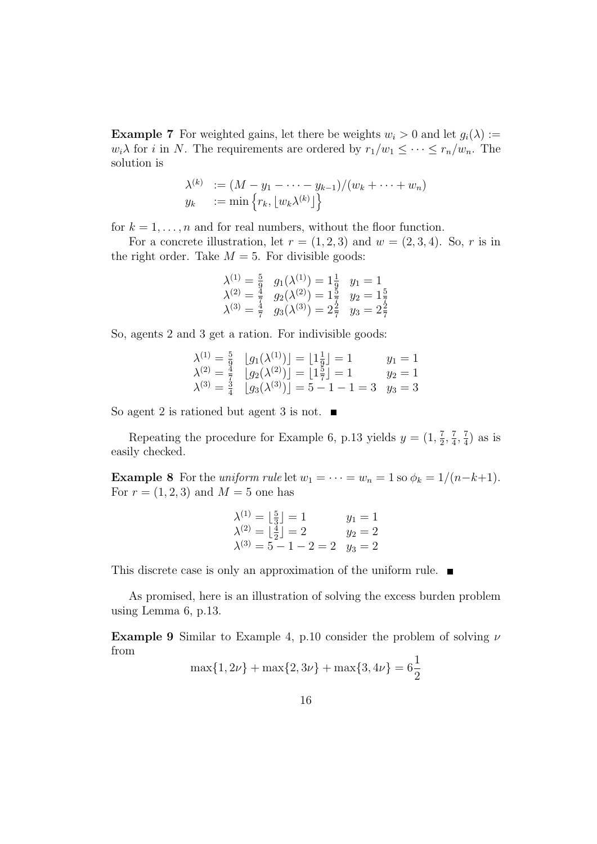**Example 7** For weighted gains, let there be weights  $w_i > 0$  and let  $g_i(\lambda) :=$  $w_i\lambda$  for *i* in *N*. The requirements are ordered by  $r_1/w_1 \leq \cdots \leq r_n/w_n$ . The solution is

$$
\lambda^{(k)} := (M - y_1 - \dots - y_{k-1})/(w_k + \dots + w_n)
$$
  

$$
y_k := \min \{ r_k, \lfloor w_k \lambda^{(k)} \rfloor \}
$$

for  $k = 1, \ldots, n$  and for real numbers, without the floor function.

For a concrete illustration, let  $r = (1, 2, 3)$  and  $w = (2, 3, 4)$ . So, r is in the right order. Take  $M = 5$ . For divisible goods:

$$
\begin{array}{ll}\n\lambda^{(1)} = \frac{5}{9} & g_1(\lambda^{(1)}) = 1\frac{1}{9} & y_1 = 1 \\
\lambda^{(2)} = \frac{4}{7} & g_2(\lambda^{(2)}) = 1\frac{5}{7} & y_2 = 1\frac{5}{7} \\
\lambda^{(3)} = \frac{4}{7} & g_3(\lambda^{(3)}) = 2\frac{2}{7} & y_3 = 2\frac{2}{7}\n\end{array}
$$

So, agents 2 and 3 get a ration. For indivisible goods:

$$
\begin{array}{ll}\n\lambda^{(1)} = \frac{5}{9} & \lfloor g_1(\lambda^{(1)}) \rfloor = \lfloor 1\frac{1}{9} \rfloor = 1 & y_1 = 1 \\
\lambda^{(2)} = \frac{4}{7} & \lfloor g_2(\lambda^{(2)}) \rfloor = \lfloor 1\frac{5}{7} \rfloor = 1 & y_2 = 1 \\
\lambda^{(3)} = \frac{3}{4} & \lfloor g_3(\lambda^{(3)}) \rfloor = 5 - 1 - 1 = 3 & y_3 = 3\n\end{array}
$$

So agent 2 is rationed but agent 3 is not.  $\blacksquare$ 

Repeating the procedure for Example 6, p.13 yields  $y = (1, \frac{7}{2})$  $\frac{7}{2}, \frac{7}{4}$  $\frac{7}{4}$ ,  $\frac{7}{4}$  $(\frac{7}{4})$  as is easily checked.

**Example 8** For the *uniform rule* let  $w_1 = \cdots = w_n = 1$  so  $\phi_k = 1/(n-k+1)$ . For  $r = (1, 2, 3)$  and  $M = 5$  one has

$$
\begin{array}{ll}\n\lambda^{(1)} = \lfloor \frac{5}{3} \rfloor = 1 & y_1 = 1 \\
\lambda^{(2)} = \lfloor \frac{4}{2} \rfloor = 2 & y_2 = 2 \\
\lambda^{(3)} = 5 - 1 - 2 = 2 & y_3 = 2\n\end{array}
$$

This discrete case is only an approximation of the uniform rule.  $\blacksquare$ 

As promised, here is an illustration of solving the excess burden problem using Lemma 6, p.13.

**Example 9** Similar to Example 4, p.10 consider the problem of solving  $\nu$ from

$$
\max\{1, 2\nu\} + \max\{2, 3\nu\} + \max\{3, 4\nu\} = 6\frac{1}{2}
$$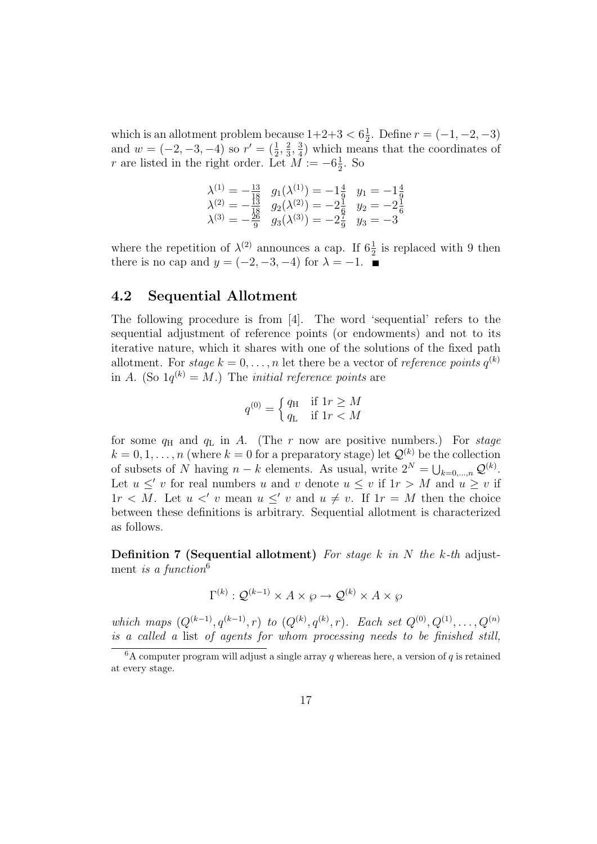which is an allotment problem because  $1+2+3 < 6\frac{1}{2}$  $\frac{1}{2}$ . Define  $r = (-1, -2, -3)$ and  $w = (-2, -3, -4)$  so  $r' = (\frac{1}{2}, \frac{2}{3})$  $\frac{2}{3}, \frac{3}{4}$  $\frac{3}{4}$ ) which means that the coordinates of r are listed in the right order. Let  $\overrightarrow{M} := -6\frac{1}{2}$  $\frac{1}{2}$ . So

$$
\begin{array}{rcl}\n\lambda^{(1)} &= -\frac{13}{18} & g_1(\lambda^{(1)}) = -1\frac{4}{9} & y_1 = -1\frac{4}{9} \\
\lambda^{(2)} &= -\frac{13}{18} & g_2(\lambda^{(2)}) = -2\frac{1}{6} & y_2 = -2\frac{1}{6} \\
\lambda^{(3)} &= -\frac{26}{9} & g_3(\lambda^{(3)}) = -2\frac{7}{9} & y_3 = -3\n\end{array}
$$

where the repetition of  $\lambda^{(2)}$  announces a cap. If  $6\frac{1}{2}$  is replaced with 9 then there is no cap and  $y = (-2, -3, -4)$  for  $\lambda = -1$ .

## 4.2 Sequential Allotment

The following procedure is from [4]. The word 'sequential' refers to the sequential adjustment of reference points (or endowments) and not to its iterative nature, which it shares with one of the solutions of the fixed path allotment. For *stage*  $k = 0, \ldots, n$  let there be a vector of *reference points*  $q^{(k)}$ in A. (So  $1q^{(k)} = M$ .) The *initial reference points* are

$$
q^{(0)} = \begin{cases} q_{\rm H} & \text{if } 1r \ge M \\ q_{\rm L} & \text{if } 1r < M \end{cases}
$$

for some  $q_H$  and  $q_L$  in A. (The r now are positive numbers.) For stage  $k = 0, 1, \ldots, n$  (where  $k = 0$  for a preparatory stage) let  $\mathcal{Q}^{(k)}$  be the collection of subsets of N having  $n - k$  elements. As usual, write  $2^N = \bigcup_{k=0,\dots,n} \mathcal{Q}^{(k)}$ . Let  $u \leq v$  for real numbers u and v denote  $u \leq v$  if  $1r > M$  and  $u \geq v$  if  $1r < M$ . Let  $u < v$  mean  $u \leq v$  and  $u \neq v$ . If  $1r = M$  then the choice between these definitions is arbitrary. Sequential allotment is characterized as follows.

**Definition 7 (Sequential allotment)** For stage k in N the k-th adjustment is a function $6$ 

$$
\Gamma^{(k)}: \mathcal{Q}^{(k-1)} \times A \times \wp \to \mathcal{Q}^{(k)} \times A \times \wp
$$

which maps  $(Q^{(k-1)}, q^{(k-1)}, r)$  to  $(Q^{(k)}, q^{(k)}, r)$ . Each set  $Q^{(0)}, Q^{(1)}, \ldots, Q^{(n)}$ is a called a list of agents for whom processing needs to be finished still,

 $6A$  computer program will adjust a single array q whereas here, a version of q is retained at every stage.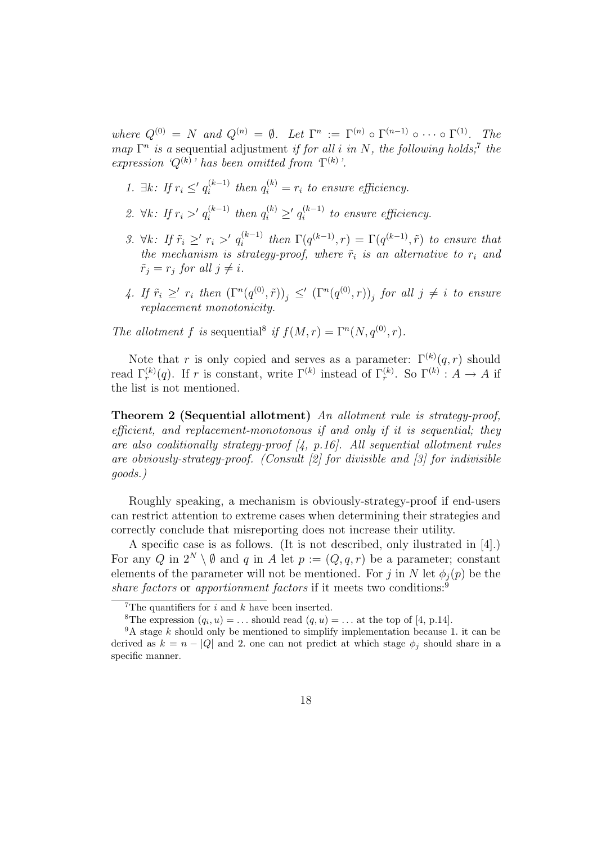where  $Q^{(0)} = N$  and  $Q^{(n)} = \emptyset$ . Let  $\Gamma^n := \Gamma^{(n)} \circ \Gamma^{(n-1)} \circ \cdots \circ \Gamma^{(1)}$ . The map  $\Gamma^n$  is a sequential adjustment if for all i in N, the following holds;<sup>7</sup> the expression ' $Q^{(k)}$ ' has been omitted from  $T^{(k)}$ '.

- 1.  $\exists k: \text{ If } r_i \leq q_i^{(k-1)}$  $i_i^{(k-1)}$  then  $q_i^{(k)} = r_i$  to ensure efficiency.
- 2.  $\forall k: \text{ If } r_i >' q_i^{(k-1)}$  $i^{(k-1)}$  then  $q_i^{(k)} \geq q_i^{(k-1)}$  $i_i^{(k-1)}$  to ensure efficiency.
- 3.  $\forall k: \text{ If } \tilde{r}_i \geq r_i >' q_i^{(k-1)}$  $\int_{i}^{(k-1)}$  then  $\Gamma(q^{(k-1)}, r) = \Gamma(q^{(k-1)}, \tilde{r})$  to ensure that the mechanism is strategy-proof, where  $\tilde{r}_i$  is an alternative to  $r_i$  and  $\tilde{r}_i = r_j$  for all  $j \neq i$ .
- 4. If  $\tilde{r}_i \geq' r_i$  then  $(\Gamma^n(q^{(0)}, \tilde{r}))_j \leq' (\Gamma^n(q^{(0)}, r))_j$  for all  $j \neq i$  to ensure replacement monotonicity.

The allotment f is sequential<sup>8</sup> if  $f(M,r) = \Gamma^{n}(N, q^{(0)}, r)$ .

Note that r is only copied and serves as a parameter:  $\Gamma^{(k)}(q, r)$  should read  $\Gamma_r^{(k)}(q)$ . If r is constant, write  $\Gamma^{(k)}$  instead of  $\Gamma_r^{(k)}$ . So  $\Gamma^{(k)}$ :  $A \to A$  if the list is not mentioned.

Theorem 2 (Sequential allotment) An allotment rule is strategy-proof, efficient, and replacement-monotonous if and only if it is sequential; they are also coalitionally strategy-proof  $\mathcal{A}$ , p.16. All sequential allotment rules are obviously-strategy-proof. (Consult [2] for divisible and [3] for indivisible goods.)

Roughly speaking, a mechanism is obviously-strategy-proof if end-users can restrict attention to extreme cases when determining their strategies and correctly conclude that misreporting does not increase their utility.

A specific case is as follows. (It is not described, only ilustrated in [4].) For any Q in  $2^N \setminus \emptyset$  and q in A let  $p := (Q, q, r)$  be a parameter; constant elements of the parameter will not be mentioned. For j in N let  $\phi_i(p)$  be the share factors or apportionment factors if it meets two conditions: $9$ 

<sup>&</sup>lt;sup>7</sup>The quantifiers for  $i$  and  $k$  have been inserted.

<sup>&</sup>lt;sup>8</sup>The expression  $(q_i, u) = \dots$  should read  $(q, u) = \dots$  at the top of [4, p.14].

 $9A$  stage k should only be mentioned to simplify implementation because 1. it can be derived as  $k = n - |Q|$  and 2. one can not predict at which stage  $\phi_i$  should share in a specific manner.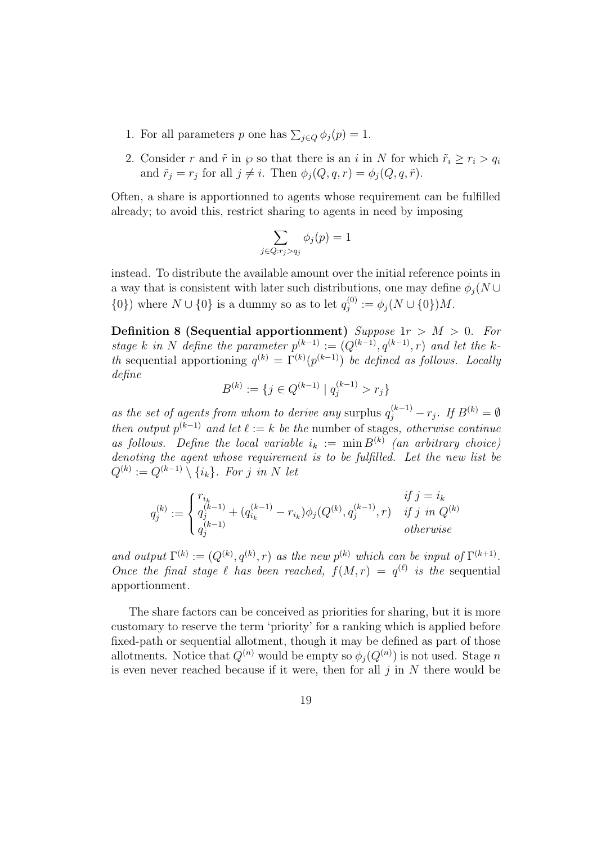- 1. For all parameters p one has  $\sum_{j\in Q} \phi_j(p) = 1$ .
- 2. Consider r and  $\tilde{r}$  in  $\varphi$  so that there is an i in N for which  $\tilde{r}_i \geq r_i > q_i$ and  $\tilde{r}_j = r_j$  for all  $j \neq i$ . Then  $\phi_j(Q, q, r) = \phi_j(Q, q, \tilde{r})$ .

Often, a share is apportionned to agents whose requirement can be fulfilled already; to avoid this, restrict sharing to agents in need by imposing

$$
\sum_{j \in Q: r_j > q_j} \phi_j(p) = 1
$$

instead. To distribute the available amount over the initial reference points in a way that is consistent with later such distributions, one may define  $\phi_i(N \cup$  $\{0\}$ ) where  $N \cup \{0\}$  is a dummy so as to let  $q_i^{(0)}$  $j_j^{(0)} := \phi_j(N \cup \{0\})M.$ 

Definition 8 (Sequential apportionment) Suppose  $1r > M > 0$ . For stage k in N define the parameter  $p^{(k-1)} := (Q^{(k-1)}, q^{(k-1)}, r)$  and let the kth sequential apportioning  $q^{(k)} = \Gamma^{(k)}(p^{(k-1)})$  be defined as follows. Locally define

$$
B^{(k)} := \{ j \in Q^{(k-1)} \mid q_j^{(k-1)} > r_j \}
$$

as the set of agents from whom to derive any surplus  $q_j^{(k-1)} - r_j$ . If  $B^{(k)} = \emptyset$ then output  $p^{(k-1)}$  and let  $\ell := k$  be the number of stages, otherwise continue as follows. Define the local variable  $i_k := \min B^{(k)}$  (an arbitrary choice) denoting the agent whose requirement is to be fulfilled. Let the new list be  $Q^{(k)} := Q^{(k-1)} \setminus \{i_k\}.$  For j in N let

$$
q_j^{(k)} := \begin{cases} r_{i_k} & \text{if } j = i_k \\ q_j^{(k-1)} + (q_{i_k}^{(k-1)} - r_{i_k})\phi_j(Q^{(k)}, q_j^{(k-1)}, r) & \text{if } j \text{ in } Q^{(k)} \\ q_j^{(k-1)} & \text{otherwise} \end{cases}
$$

and output  $\Gamma^{(k)} := (Q^{(k)}, q^{(k)}, r)$  as the new  $p^{(k)}$  which can be input of  $\Gamma^{(k+1)}$ . Once the final stage  $\ell$  has been reached,  $f(M, r) = q^{(\ell)}$  is the sequential apportionment.

The share factors can be conceived as priorities for sharing, but it is more customary to reserve the term 'priority' for a ranking which is applied before fixed-path or sequential allotment, though it may be defined as part of those allotments. Notice that  $Q^{(n)}$  would be empty so  $\phi_j(Q^{(n)})$  is not used. Stage n is even never reached because if it were, then for all  $j$  in  $N$  there would be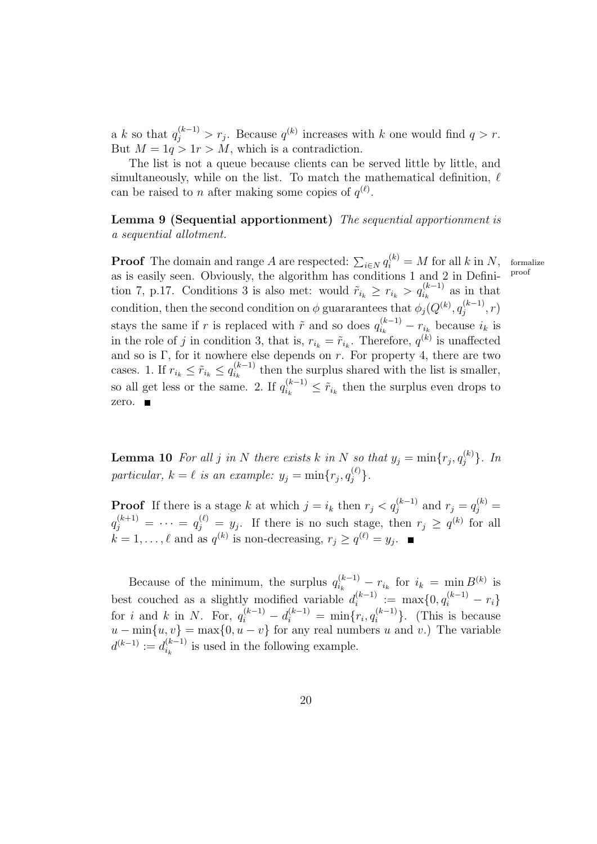a k so that  $q_j^{(k-1)} > r_j$ . Because  $q^{(k)}$  increases with k one would find  $q > r$ . But  $M = 1q > 1r > M$ , which is a contradiction.

The list is not a queue because clients can be served little by little, and simultaneously, while on the list. To match the mathematical definition,  $\ell$ can be raised to *n* after making some copies of  $q^{(\ell)}$ .

Lemma 9 (Sequential apportionment) The sequential apportionment is a sequential allotment.

**Proof** The domain and range A are respected:  $\sum_{i \in N} q_i^{(k)} = M$  for all k in N, formalize as is easily seen. Obviously, the algorithm has conditions 1 and 2 in Definition 7, p.17. Conditions 3 is also met: would  $\tilde{r}_{i_k} \geq r_{i_k} > q_{i_k}^{(k-1)}$  as in that condition, then the second condition on  $\phi$  guararantees that  $\phi_j(Q^{(k)}, q_j^{(k-1)})$  $j^{(\kappa-1)} \n, r$ stays the same if r is replaced with  $\tilde{r}$  and so does  $q_{i_k}^{(k-1)} - r_{i_k}$  because  $i_k$  is in the role of j in condition 3, that is,  $r_{i_k} = \tilde{r}_{i_k}$ . Therefore,  $q^{(k)}$  is unaffected and so is  $\Gamma$ , for it nowhere else depends on r. For property 4, there are two cases. 1. If  $r_{i_k} \leq \tilde{r}_{i_k} \leq q_{i_k}^{(k-1)}$  $\sum_{i_k}^{(k-1)}$  then the surplus shared with the list is smaller, so all get less or the same. 2. If  $q_{i_k}^{(k-1)} \leq \tilde{r}_{i_k}$  then the surplus even drops to zero.

**Lemma 10** For all j in N there exists k in N so that  $y_j = \min\{r_j, q_j^{(k)}\}$ . In particular,  $k = \ell$  is an example:  $y_j = \min\{r_j, q_j^{(\ell)}\}.$ 

**Proof** If there is a stage k at which  $j = i_k$  then  $r_j < q_j^{(k-1)}$  and  $r_j = q_j^{(k)}$  $q_j^{(k+1)} = \cdots = q_j^{(\ell)} = y_j$ . If there is no such stage, then  $r_j \ge q^{(k)}$  for all  $k = 1, \ldots, \ell$  and as  $q^{(k)}$  is non-decreasing,  $r_j \ge q^{(\ell)} = y_j$ .

Because of the minimum, the surplus  $q_{i_k}^{(k-1)} - r_{i_k}$  for  $i_k = \min B^{(k)}$  is best couched as a slightly modified variable  $d_i^{(k-1)}$  $j_i^{(k-1)} := \max\{0, q_i^{(k-1)} - r_i\}$ for *i* and *k* in *N*. For,  $q_i^{(k-1)} - d_i^{(k-1)} = \min\{r_i, q_i^{(k-1)}\}$ . (This is because  $u - \min\{u, v\} = \max\{0, u - v\}$  for any real numbers u and v.) The variable  $d^{(k-1)} := d_{i_k}^{(k-1)}$  $\binom{k-1}{i_k}$  is used in the following example.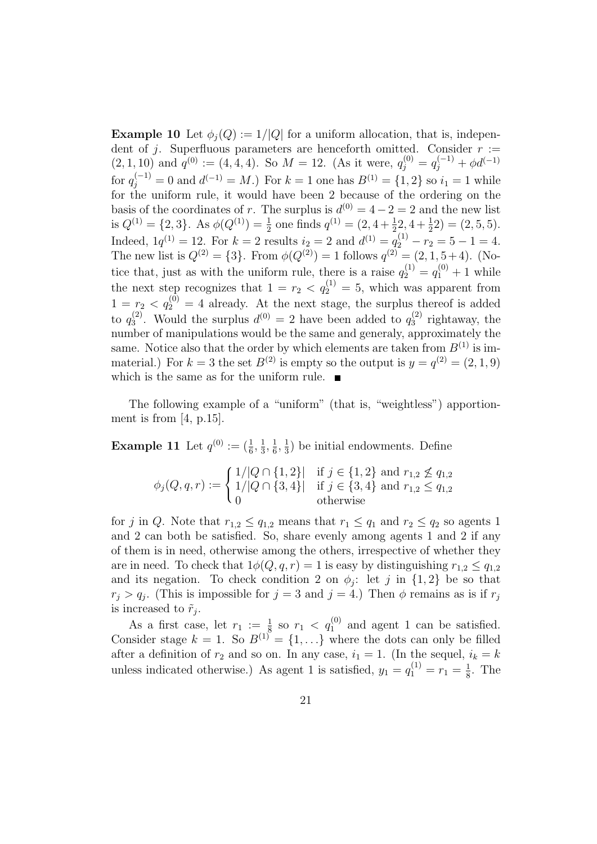**Example 10** Let  $\phi_i(Q) := 1/|Q|$  for a uniform allocation, that is, independent of j. Superfluous parameters are henceforth omitted. Consider  $r :=$  $(2, 1, 10)$  and  $q^{(0)} := (4, 4, 4)$ . So  $M = 12$ . (As it were,  $q_j^{(0)} = q_j^{(-1)} + \phi d^{(-1)}$ for  $q_j^{(-1)} = 0$  and  $d^{(-1)} = M$ .) For  $k = 1$  one has  $B^{(1)} = \{1, 2\}$  so  $i_1 = 1$  while for the uniform rule, it would have been 2 because of the ordering on the basis of the coordinates of r. The surplus is  $d^{(0)} = 4 - 2 = 2$  and the new list is  $Q^{(1)} = \{2, 3\}$ . As  $\phi(Q^{(1)}) = \frac{1}{2}$  one finds  $q^{(1)} = (2, 4 + \frac{1}{2}, 4 + \frac{1}{2}) = (2, 5, 5)$ . Indeed,  $1q^{(1)} = 12$ . For  $k = 2$  results  $i_2 = 2$  and  $d^{(1)} = q_2^{(1)} - r_2 = 5 - 1 = 4$ . The new list is  $Q^{(2)} = \{3\}$ . From  $\phi(Q^{(2)}) = 1$  follows  $q^{(2)} = (2, 1, 5 + 4)$ . (Notice that, just as with the uniform rule, there is a raise  $q_2^{(1)} = q_1^{(0)} + 1$  while the next step recognizes that  $1 = r_2 < q_2^{(1)} = 5$ , which was apparent from  $1 = r_2 < q_2^{(0)} = 4$  already. At the next stage, the surplus thereof is added to  $q_3^{(2)}$  $3^{(2)}$ . Would the surplus  $d^{(0)} = 2$  have been added to  $q_3^{(2)}$  $v_3^{(2)}$  rightaway, the number of manipulations would be the same and generaly, approximately the same. Notice also that the order by which elements are taken from  $B^{(1)}$  is immaterial.) For  $k = 3$  the set  $B^{(2)}$  is empty so the output is  $y = q^{(2)} = (2, 1, 9)$ which is the same as for the uniform rule.  $\blacksquare$ 

The following example of a "uniform" (that is, "weightless") apportionment is from [4, p.15].

**Example 11** Let  $q^{(0)} := (\frac{1}{6}, \frac{1}{3})$  $\frac{1}{3}, \frac{1}{6}$  $\frac{1}{6}, \frac{1}{3}$  $\frac{1}{3}$ ) be initial endowments. Define

$$
\phi_j(Q, q, r) := \begin{cases} 1/|Q \cap \{1, 2\}| & \text{if } j \in \{1, 2\} \text{ and } r_{1,2} \nleq q_{1,2} \\ 1/|Q \cap \{3, 4\}| & \text{if } j \in \{3, 4\} \text{ and } r_{1,2} \leq q_{1,2} \\ 0 & \text{otherwise} \end{cases}
$$

for j in Q. Note that  $r_{1,2} \le q_{1,2}$  means that  $r_1 \le q_1$  and  $r_2 \le q_2$  so agents 1 and 2 can both be satisfied. So, share evenly among agents 1 and 2 if any of them is in need, otherwise among the others, irrespective of whether they are in need. To check that  $1\phi(Q, q, r) = 1$  is easy by distinguishing  $r_{1,2} \leq q_{1,2}$ and its negation. To check condition 2 on  $\phi_j$ : let j in {1, 2} be so that  $r_j > q_j$ . (This is impossible for  $j = 3$  and  $j = 4$ .) Then  $\phi$  remains as is if  $r_j$ is increased to  $\tilde{r}_j$ .

As a first case, let  $r_1 := \frac{1}{8}$  so  $r_1 < q_1^{(0)}$  and agent 1 can be satisfied. Consider stage  $k = 1$ . So  $B^{(1)} = \{1, \ldots\}$  where the dots can only be filled after a definition of  $r_2$  and so on. In any case,  $i_1 = 1$ . (In the sequel,  $i_k = k$ unless indicated otherwise.) As agent 1 is satisfied,  $y_1 = q_1^{(1)} = r_1 = \frac{1}{8}$  $\frac{1}{8}$ . The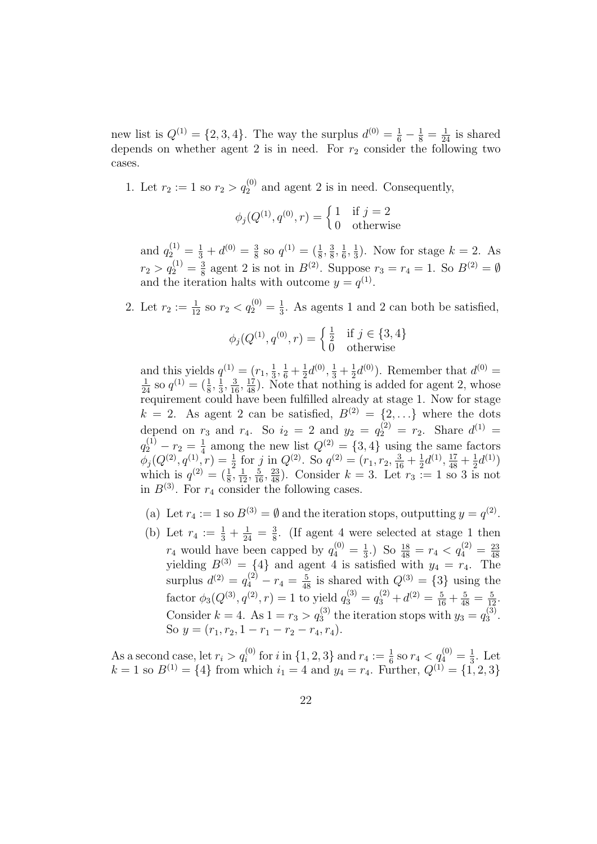new list is  $Q^{(1)} = \{2, 3, 4\}$ . The way the surplus  $d^{(0)} = \frac{1}{6} - \frac{1}{8} = \frac{1}{24}$  is shared depends on whether agent 2 is in need. For  $r_2$  consider the following two cases.

1. Let  $r_2 := 1$  so  $r_2 > q_2^{(0)}$  and agent 2 is in need. Consequently,

$$
\phi_j(Q^{(1)}, q^{(0)}, r) = \begin{cases} 1 & \text{if } j = 2 \\ 0 & \text{otherwise} \end{cases}
$$

and  $q_2^{(1)} = \frac{1}{3} + d^{(0)} = \frac{3}{8}$  $\frac{3}{8}$  so  $q^{(1)} = (\frac{1}{8}, \frac{3}{8})$  $\frac{3}{8}, \frac{1}{6}$  $\frac{1}{6}, \frac{1}{3}$  $\frac{1}{3}$ ). Now for stage  $k = 2$ . As  $r_2 > q_2^{(1)} = \frac{3}{8}$  $\frac{3}{8}$  agent 2 is not in  $B^{(2)}$ . Suppose  $r_3 = r_4 = 1$ . So  $B^{(2)} = \emptyset$ and the iteration halts with outcome  $y = q^{(1)}$ .

2. Let  $r_2 := \frac{1}{12}$  so  $r_2 < q_2^{(0)} = \frac{1}{3}$  $\frac{1}{3}$ . As agents 1 and 2 can both be satisfied,

$$
\phi_j(Q^{(1)}, q^{(0)}, r) = \begin{cases} \frac{1}{2} & \text{if } j \in \{3, 4\} \\ 0 & \text{otherwise} \end{cases}
$$

and this yields  $q^{(1)} = (r_1, \frac{1}{3})$  $\frac{1}{3}, \frac{1}{6} + \frac{1}{2}$  $\frac{1}{2}d^{(0)}, \frac{1}{3} + \frac{1}{2}$  $\frac{1}{2}d^{(0)}$ ). Remember that  $d^{(0)} =$  $\frac{1}{24}$  so  $q^{(1)} = (\frac{1}{8}, \frac{1}{3})$  $\frac{1}{3}, \frac{3}{16}, \frac{17}{48}$ . Note that nothing is added for agent 2, whose requirement could have been fulfilled already at stage 1. Now for stage  $k = 2$ . As agent 2 can be satisfied,  $B^{(2)} = \{2,...\}$  where the dots depend on  $r_3$  and  $r_4$ . So  $i_2 = 2$  and  $y_2 = q_2^{(2)} = r_2$ . Share  $d^{(1)} =$  $q_{2}^{(1)}-r_{2}=\frac{1}{4}$  $\frac{1}{4}$  among the new list  $Q^{(2)} = \{3, 4\}$  using the same factors  $\phi_j(Q^{(2)}, q^{(1)}, r) = \frac{1}{2}$  for j in  $Q^{(2)}$ . So  $q^{(2)} = (r_1, r_2, \frac{3}{16} + \frac{1}{2})$  $\frac{1}{2}d^{(1)}, \frac{17}{48} + \frac{1}{2}$  $\frac{1}{2}d^{(1)}$ which is  $q^{(2)} = (\frac{1}{8}, \frac{1}{12}, \frac{5}{16}, \frac{23}{48})$ . Consider  $k = 3$ . Let  $r_3 := 1$  so 3 is not in  $B^{(3)}$ . For  $r_4$  consider the following cases.

- (a) Let  $r_4 := 1$  so  $B^{(3)} = \emptyset$  and the iteration stops, outputting  $y = q^{(2)}$ .
- (b) Let  $r_4 := \frac{1}{3} + \frac{1}{24} = \frac{3}{8}$  $\frac{3}{8}$ . (If agent 4 were selected at stage 1 then  $r_4$  would have been capped by  $q_4^{(0)} = \frac{1}{3}$  $\frac{1}{3}$ .) So  $\frac{18}{48} = r_4 < q_4^{(2)} = \frac{23}{48}$ yielding  $B^{(3)} = \{4\}$  and agent 4 is satisfied with  $y_4 = r_4$ . The surplus  $d^{(2)} = q_4^{(2)} - r_4 = \frac{5}{48}$  is shared with  $Q^{(3)} = \{3\}$  using the factor  $\phi_3(Q^{(3)}, q^{(2)}, r) = 1$  to yield  $q_3^{(3)} = q_3^{(2)} + d^{(2)} = \frac{5}{16} + \frac{5}{48} = \frac{5}{12}$ . Consider  $k = 4$ . As  $1 = r_3 > q_3^{(3)}$  the iteration stops with  $y_3 = q_3^{(3)}$  $\frac{1}{3}^{(3)}$ . So  $y = (r_1, r_2, 1 - r_1 - r_2 - r_4, r_4).$

As a second case, let  $r_i > q_i^{(0)}$  for i in  $\{1, 2, 3\}$  and  $r_4 := \frac{1}{6}$  so  $r_4 < q_4^{(0)} = \frac{1}{3}$  $\frac{1}{3}$ . Let  $k = 1$  so  $B^{(1)} = \{4\}$  from which  $i_1 = 4$  and  $y_4 = r_4$ . Further,  $Q^{(1)} = \{1, 2, 3\}$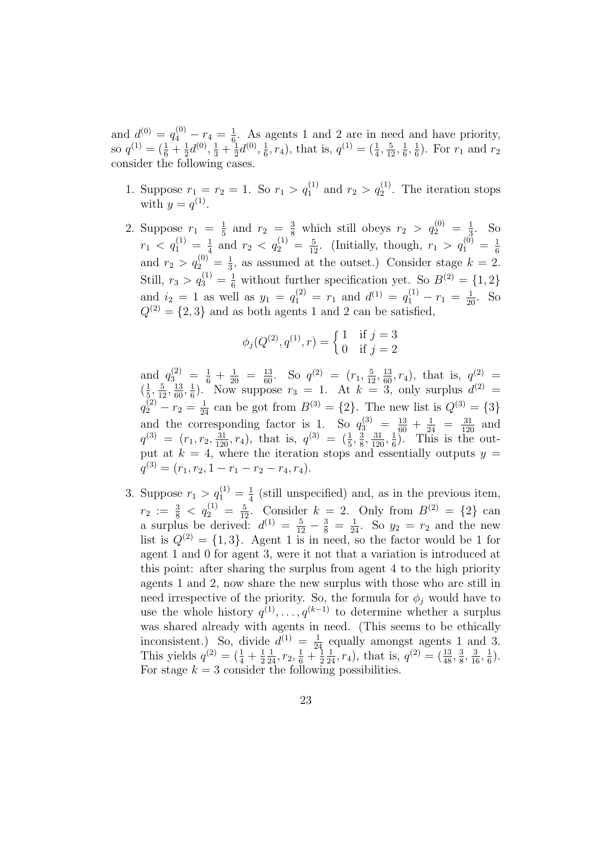and  $d^{(0)} = q_4^{(0)} - r_4 = \frac{1}{6}$  $\frac{1}{6}$ . As agents 1 and 2 are in need and have priority, so  $q^{(1)} = (\frac{1}{6} + \frac{1}{2})$  $\frac{1}{2}d^{(0)}$ ,  $\frac{1}{3} + \frac{1}{2}$  $\frac{1}{2}d^{(0)}, \frac{1}{6}$  $(\frac{1}{6}, r_4)$ , that is,  $q^{(1)} = (\frac{1}{4}, \frac{5}{12}, \frac{1}{6})$  $\frac{1}{6}, \frac{1}{6}$  $(\frac{1}{6})$ . For  $r_1$  and  $r_2$ consider the following cases.

- 1. Suppose  $r_1 = r_2 = 1$ . So  $r_1 > q_1^{(1)}$  and  $r_2 > q_2^{(1)}$ . The iteration stops with  $y = q^{(1)}$ .
- 2. Suppose  $r_1 = \frac{1}{5}$  $\frac{1}{5}$  and  $r_2 = \frac{3}{8}$  which still obeys  $r_2 > q_2^{(0)} = \frac{1}{3}$  $\frac{1}{3}$ . So  $r_1 \, < \, q_{1}^{(1)} \, = \, \frac{1}{4}$  $\frac{1}{4}$  and  $r_2 < q_2^{(1)} = \frac{5}{12}$ . (Initially, though,  $r_1 > q_1^{(0)} = \frac{1}{6}$ 6 and  $r_2 > q_2^{(0)} = \frac{1}{3}$  $\frac{1}{3}$ , as assumed at the outset.) Consider stage  $k = 2$ . Still,  $r_3 > q_3^{(1)} = \frac{1}{6}$  without further specification yet. So  $B^{(2)} = \{1, 2\}$ and  $i_2 = 1$  as well as  $y_1 = q_1^{(2)} = r_1$  and  $d^{(1)} = q_1^{(1)} - r_1 = \frac{1}{20}$ . So  $Q^{(2)} = \{2, 3\}$  and as both agents 1 and 2 can be satisfied,

$$
\phi_j(Q^{(2)}, q^{(1)}, r) = \begin{cases} 1 & \text{if } j = 3 \\ 0 & \text{if } j = 2 \end{cases}
$$

and  $q_{3_{12}}^{(2)} = \frac{1}{6} + \frac{1}{20} = \frac{13}{60}$ . So  $q^{(2)} = (r_1, \frac{5}{12}, \frac{13}{60}, r_4)$ , that is,  $q_{(2)}^{(2)} =$  $\left(\frac{1}{5}\right)$  $\frac{1}{5}, \frac{5}{12}, \frac{13}{60}, \frac{1}{6}$  $\frac{1}{6}$ ). Now suppose  $r_3 = 1$ . At  $k = 3$ , only surplus  $d^{(2)} =$  $q_2^{(2)} - r_2 = \frac{1}{24}$  can be got from  $B^{(3)} = \{2\}$ . The new list is  $Q^{(3)} = \{3\}$ and the corresponding factor is 1. So  $q_3^{(3)} = \frac{13}{60} + \frac{1}{24} = \frac{31}{120}$  and  $q^{(3)} = (r_1, r_2, \frac{31}{120}, r_4)$ , that is,  $q^{(3)} = (\frac{1}{5}, \frac{3}{8})$  $\frac{3}{8}, \frac{31}{120}, \frac{1}{6}$  $\frac{1}{6}$ ). This is the output at  $k = 4$ , where the iteration stops and essentially outputs  $y =$  $q^{(3)} = (r_1, r_2, 1 - r_1 - r_2 - r_4, r_4).$ 

3. Suppose  $r_1 > q_1^{(1)} = \frac{1}{4}$  $\frac{1}{4}$  (still unspecified) and, as in the previous item,  $r_2 := \frac{3}{8} < q_2^{(1)} = \frac{5}{12}$ . Consider  $k = 2$ . Only from  $B^{(2)} = \{2\}$  can a surplus be derived:  $d^{(1)} = \frac{5}{12} - \frac{3}{8} = \frac{1}{24}$ . So  $y_2 = r_2$  and the new list is  $Q^{(2)} = \{1,3\}$ . Agent 1 is in need, so the factor would be 1 for agent 1 and 0 for agent 3, were it not that a variation is introduced at this point: after sharing the surplus from agent 4 to the high priority agents 1 and 2, now share the new surplus with those who are still in need irrespective of the priority. So, the formula for  $\phi_i$  would have to use the whole history  $q^{(1)}, \ldots, q^{(k-1)}$  to determine whether a surplus was shared already with agents in need. (This seems to be ethically inconsistent.) So, divide  $d^{(1)} = \frac{1}{24}$  equally amongst agents 1 and 3. This yields  $q^{(2)} = (\frac{1}{4} + \frac{1}{2})$ 2  $\frac{1}{24}$ ,  $r_2$ ,  $\frac{1}{6}$  +  $\frac{1}{2}$ 2  $\frac{1}{24}$ ,  $r_4$ ), that is,  $q^{(2)} = \left(\frac{13}{48}, \frac{3}{8}\right)$  $\frac{3}{8}, \frac{3}{16}, \frac{1}{6}$  $(\frac{1}{6})$ . For stage  $k = 3$  consider the following possibilities.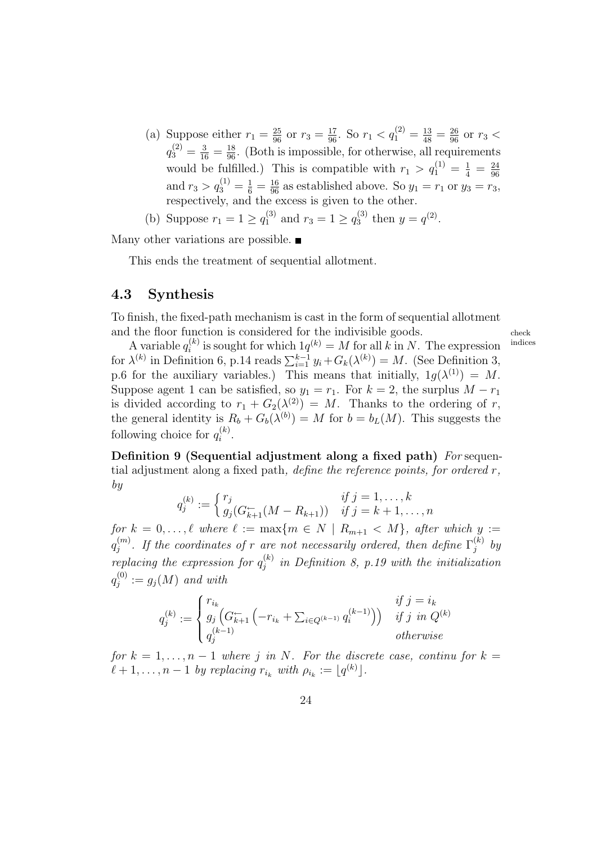- (a) Suppose either  $r_1 = \frac{25}{96}$  or  $r_3 = \frac{17}{96}$ . So  $r_1 < q_1^{(2)} = \frac{13}{48} = \frac{26}{96}$  or  $r_3 <$  $q_3^{(2)} = \frac{3}{16} = \frac{18}{96}$ . (Both is impossible, for otherwise, all requirements would be fulfilled.) This is compatible with  $r_1 > q_1^{(1)} = \frac{1}{4} = \frac{24}{96}$ 96 and  $r_3 > q_3^{(1)} = \frac{1}{6} = \frac{16}{96}$  as established above. So  $y_1 = r_1$  or  $y_3 = r_3$ , respectively, and the excess is given to the other.
- (b) Suppose  $r_1 = 1 \ge q_1^{(3)}$  and  $r_3 = 1 \ge q_3^{(3)}$  $y_3^{(3)}$  then  $y = q^{(2)}$ .

Many other variations are possible.  $\blacksquare$ 

This ends the treatment of sequential allotment.

#### 4.3 Synthesis

To finish, the fixed-path mechanism is cast in the form of sequential allotment

and the floor function is considered for the indivisible goods.<br>A variable  $a^{(k)}$  is sought for which  $1a^{(k)} = M$  for all  $k$  in M. The consection indices A variable  $q_i^{(k)}$  is sought for which  $1q^{(k)} = M$  for all k in N. The expression indices  $i_i^{(k)}$  is sought for which  $1q^{(k)} = M$  for all k in N. The expression for  $\lambda^{(k)}$  in Definition 6, p.14 reads  $\sum_{i=1}^{k-1} y_i + G_k(\lambda^{(k)}) = M$ . (See Definition 3, p.6 for the auxiliary variables.) This means that initially,  $1g(\lambda^{(1)}) = M$ . Suppose agent 1 can be satisfied, so  $y_1 = r_1$ . For  $k = 2$ , the surplus  $M - r_1$ is divided according to  $r_1 + G_2(\lambda^{(2)}) = M$ . Thanks to the ordering of r, the general identity is  $R_b + G_b(\lambda^{(b)}) = M$  for  $b = b_L(M)$ . This suggests the following choice for  $q_i^{(k)}$  $\binom{\kappa}{i}$ .

Definition 9 (Sequential adjustment along a fixed path) For sequential adjustment along a fixed path, *define the reference points, for ordered r*, by

$$
q_j^{(k)} := \begin{cases} r_j & \text{if } j = 1, \dots, k \\ g_j(G_{k+1}^{\leftarrow}(M - R_{k+1})) & \text{if } j = k+1, \dots, n \end{cases}
$$

for  $k = 0, \ldots, \ell$  where  $\ell := \max\{m \in N \mid R_{m+1} < M\}$ , after which  $y :=$  $q_{i}^{\left( m\right) }$  $j^{(m)}$ . If the coordinates of r are not necessarily ordered, then define  $\Gamma^{(k)}_j$  $j^{(\kappa)}$  by replacing the expression for  $q_i^{(k)}$  $j_j^{(k)}$  in Definition 8, p.19 with the initialization  $q_i^{(0)}$  $g_j^{(0)} := g_j(M)$  and with

$$
q_j^{(k)} := \begin{cases} r_{i_k} & \text{if } j = i_k \\ g_j \left( G_{k+1}^{\leftarrow} \left( -r_{i_k} + \sum_{i \in Q^{(k-1)}} q_i^{(k-1)} \right) \right) & \text{if } j \text{ in } Q^{(k)} \\ q_j^{(k-1)} & \text{otherwise} \end{cases}
$$

for  $k = 1, \ldots, n - 1$  where j in N. For the discrete case, continu for  $k =$  $\ell+1,\ldots,n-1$  by replacing  $r_{i_k}$  with  $\rho_{i_k} := \lfloor q^{(k)} \rfloor$ .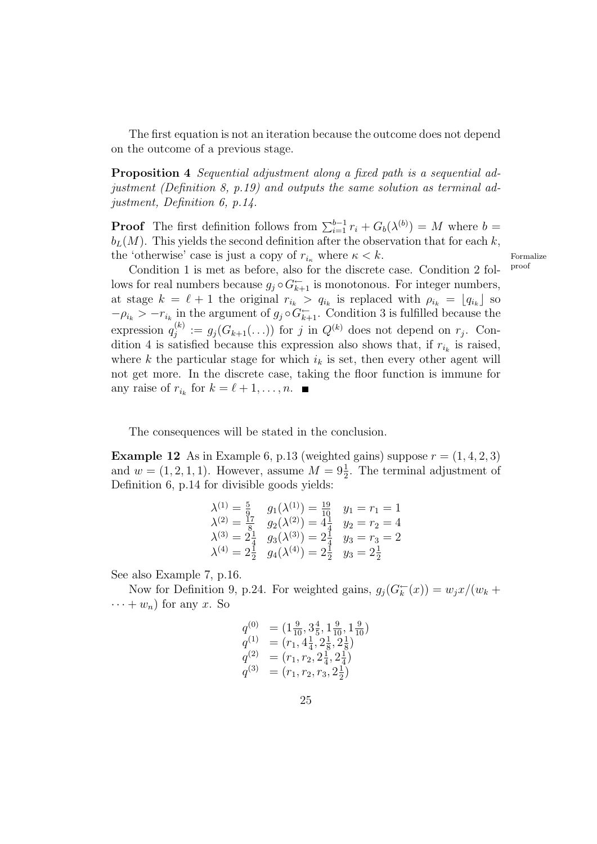The first equation is not an iteration because the outcome does not depend on the outcome of a previous stage.

Proposition 4 Sequential adjustment along a fixed path is a sequential adjustment (Definition 8, p.19) and outputs the same solution as terminal adjustment, Definition 6, p.14.

**Proof** The first definition follows from  $\sum_{i=1}^{b-1} r_i + G_b(\lambda^{(b)}) = M$  where  $b =$  $b_L(M)$ . This yields the second definition after the observation that for each k, the 'otherwise' case is just a copy of  $r_{i_{\kappa}}$  where  $\kappa < k$ . Formalize<br>Condition 1 is mot as before also for the discrete association 2 folled

Condition 1 is met as before, also for the discrete case. Condition 2 follows for real numbers because  $g_j \circ G_{k+1}^{\leftarrow}$  is monotonous. For integer numbers, at stage  $k = \ell + 1$  the original  $r_{i_k} > q_{i_k}$  is replaced with  $\rho_{i_k} = [q_{i_k}]$  so  $-\rho_{i_k} > -r_{i_k}$  in the argument of  $g_j \circ G_{k+1}^{\leftarrow}$ . Condition 3 is fulfilled because the expression  $q_i^{(k)}$  $g_j^{(k)} := g_j(G_{k+1}(\ldots))$  for j in  $Q^{(k)}$  does not depend on  $r_j$ . Condition 4 is satisfied because this expression also shows that, if  $r_{i_k}$  is raised, where k the particular stage for which  $i_k$  is set, then every other agent will not get more. In the discrete case, taking the floor function is immune for any raise of  $r_{i_k}$  for  $k = \ell + 1, \ldots, n$ .

The consequences will be stated in the conclusion.

**Example 12** As in Example 6, p.13 (weighted gains) suppose  $r = (1, 4, 2, 3)$ and  $w = (1, 2, 1, 1)$ . However, assume  $M = 9\frac{1}{2}$ . The terminal adjustment of Definition 6, p.14 for divisible goods yields:

$$
\lambda^{(1)} = \frac{5}{9} \quad g_1(\lambda^{(1)}) = \frac{19}{10} \quad y_1 = r_1 = 1
$$
  
\n
$$
\lambda^{(2)} = \frac{17}{8} \quad g_2(\lambda^{(2)}) = 4\frac{1}{4} \quad y_2 = r_2 = 4
$$
  
\n
$$
\lambda^{(3)} = 2\frac{1}{4} \quad g_3(\lambda^{(3)}) = 2\frac{1}{4} \quad y_3 = r_3 = 2
$$
  
\n
$$
\lambda^{(4)} = 2\frac{1}{2} \quad g_4(\lambda^{(4)}) = 2\frac{1}{2} \quad y_3 = 2\frac{1}{2}
$$

See also Example 7, p.16.

Now for Definition 9, p.24. For weighted gains,  $g_j(G_k^-(x)) = w_jx/(w_k +$  $\cdots + w_n$  for any x. So

$$
q^{(0)} = (1\frac{9}{10}, 3\frac{4}{5}, 1\frac{9}{10}, 1\frac{9}{10})
$$
  
\n
$$
q^{(1)} = (r_1, 4\frac{1}{4}, 2\frac{1}{8}, 2\frac{1}{8})
$$
  
\n
$$
q^{(2)} = (r_1, r_2, 2\frac{1}{4}, 2\frac{1}{4})
$$
  
\n
$$
q^{(3)} = (r_1, r_2, r_3, 2\frac{1}{2})
$$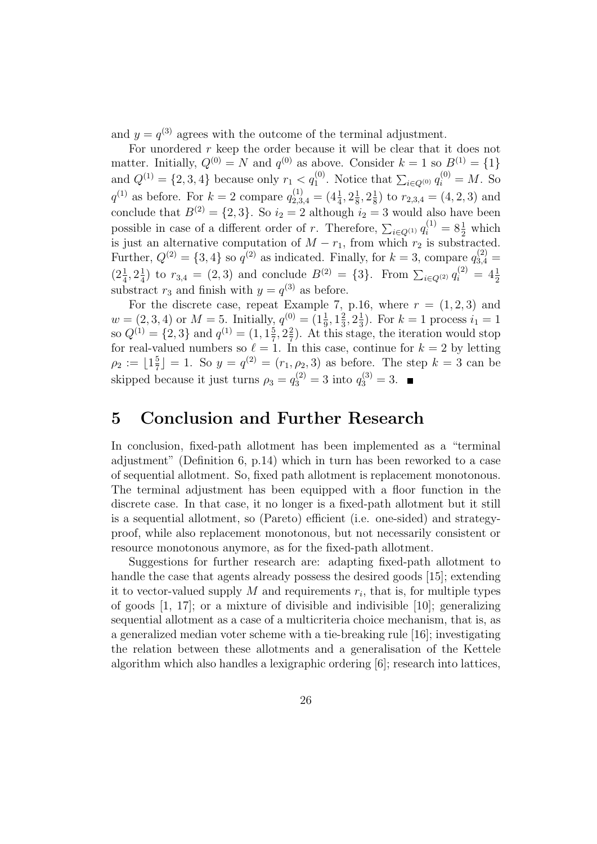and  $y = q^{(3)}$  agrees with the outcome of the terminal adjustment.

For unordered  $r$  keep the order because it will be clear that it does not matter. Initially,  $Q^{(0)} = N$  and  $q^{(0)}$  as above. Consider  $k = 1$  so  $B^{(1)} = \{1\}$ and  $Q^{(1)} = \{2, 3, 4\}$  because only  $r_1 < q_1^{(0)}$ . Notice that  $\sum_{i \in Q^{(0)}} q_i^{(0)} = M$ . So  $q^{(1)}$  as before. For  $k=2$  compare  $q_{2,3,4}^{(1)} = (4\frac{1}{4}, 2\frac{1}{8})$  $\frac{1}{8}$ ,  $2\frac{1}{8}$  $(\frac{1}{8})$  to  $r_{2,3,4} = (4,2,3)$  and conclude that  $B^{(2)} = \{2, 3\}$ . So  $i_2 = 2$  although  $i_2 = 3$  would also have been possible in case of a different order of r. Therefore,  $\sum_{i\in Q^{(1)}} q_i^{(1)} = 8\frac{1}{2}$  which is just an alternative computation of  $M - r_1$ , from which  $r_2$  is substracted. Further,  $Q^{(2)} = \{3, 4\}$  so  $q^{(2)}$  as indicated. Finally, for  $k = 3$ , compare  $q_{3,4}^{(2)} =$  $(2\frac{1}{4}, 2\frac{1}{4})$  $\frac{1}{4}$ ) to  $r_{3,4} = (2,3)$  and conclude  $B^{(2)} = \{3\}$ . From  $\sum_{i \in Q^{(2)}} q_i^{(2)} = 4\frac{1}{2}$ substract  $r_3$  and finish with  $y = q^{(3)}$  as before.

For the discrete case, repeat Example 7, p.16, where  $r = (1, 2, 3)$  and  $w = (2, 3, 4)$  or  $M = 5$ . Initially,  $q^{(0)} = (1\frac{1}{9}, 1\frac{2}{3})$  $\frac{2}{3}, 2\frac{1}{3}$  $(\frac{1}{3})$ . For  $k = 1$  process  $i_1 = 1$ so  $Q^{(1)} = \{2, 3\}$  and  $q^{(1)} = (1, 1\frac{5}{7})$  $\frac{5}{7}$ ,  $2\frac{2}{7}$  $\frac{2}{7}$ ). At this stage, the iteration would stop for real-valued numbers so  $\ell = 1$ . In this case, continue for  $k = 2$  by letting  $\rho_2 := \lfloor 1\frac{5}{7}\rfloor$  $\frac{5}{7}$ ] = 1. So  $y = q^{(2)} = (r_1, \rho_2, 3)$  as before. The step  $k = 3$  can be skipped because it just turns  $\rho_3 = q_3^{(2)} = 3$  into  $q_3^{(3)} = 3$ .

# 5 Conclusion and Further Research

In conclusion, fixed-path allotment has been implemented as a "terminal adjustment" (Definition 6, p.14) which in turn has been reworked to a case of sequential allotment. So, fixed path allotment is replacement monotonous. The terminal adjustment has been equipped with a floor function in the discrete case. In that case, it no longer is a fixed-path allotment but it still is a sequential allotment, so (Pareto) efficient (i.e. one-sided) and strategyproof, while also replacement monotonous, but not necessarily consistent or resource monotonous anymore, as for the fixed-path allotment.

Suggestions for further research are: adapting fixed-path allotment to handle the case that agents already possess the desired goods [15]; extending it to vector-valued supply  $M$  and requirements  $r_i$ , that is, for multiple types of goods [1, 17]; or a mixture of divisible and indivisible [10]; generalizing sequential allotment as a case of a multicriteria choice mechanism, that is, as a generalized median voter scheme with a tie-breaking rule [16]; investigating the relation between these allotments and a generalisation of the Kettele algorithm which also handles a lexigraphic ordering [6]; research into lattices,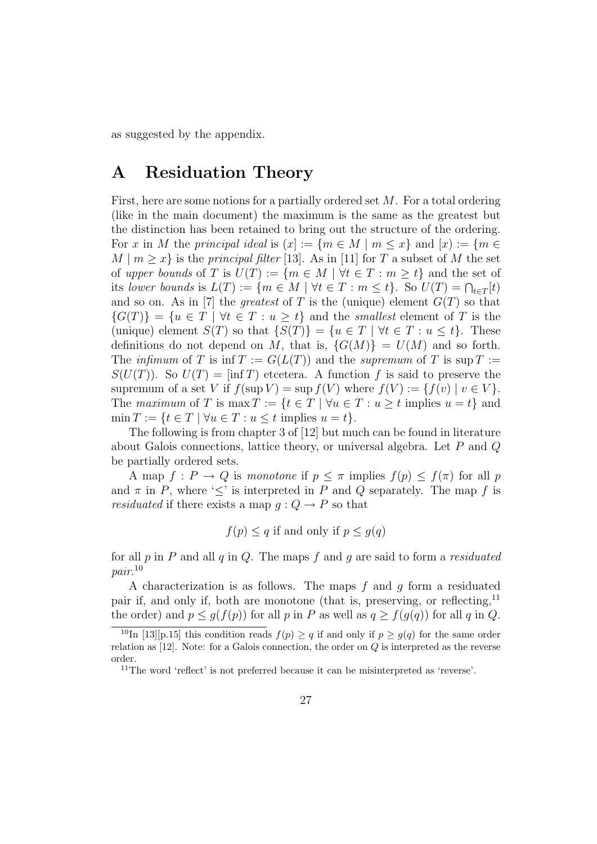as suggested by the appendix.

# A Residuation Theory

First, here are some notions for a partially ordered set M. For a total ordering (like in the main document) the maximum is the same as the greatest but the distinction has been retained to bring out the structure of the ordering. For x in M the principal ideal is  $(x) := \{m \in M \mid m \leq x\}$  and  $[x] := \{m \in M \mid m \leq x\}$  $M \mid m \geq x$  is the *principal filter* [13]. As in [11] for T a subset of M the set of upper bounds of T is  $U(T) := \{m \in M \mid \forall t \in T : m \geq t\}$  and the set of its lower bounds is  $L(T) := \{ m \in M \mid \forall t \in T : m \leq t \}.$  So  $U(T) = \bigcap_{t \in T} [t]$ and so on. As in [7] the *greatest* of T is the (unique) element  $G(T)$  so that  $\{G(T)\} = \{u \in T \mid \forall t \in T : u \geq t\}$  and the smallest element of T is the (unique) element  $S(T)$  so that  $\{S(T)\} = \{u \in T \mid \forall t \in T : u \leq t\}.$  These definitions do not depend on M, that is,  $\{G(M)\} = U(M)$  and so forth. The *infimum* of T is inf  $T := G(L(T))$  and the *supremum* of T is sup  $T :=$  $S(U(T))$ . So  $U(T) = \inf T$  etcetera. A function f is said to preserve the supremum of a set V if  $f(\sup V) = \sup f(V)$  where  $f(V) := \{f(v) | v \in V\}.$ The maximum of T is max  $T := \{t \in T \mid \forall u \in T : u \geq t \text{ implies } u = t\}$  and  $\min T := \{t \in T \mid \forall u \in T : u \leq t \text{ implies } u = t\}.$ 

The following is from chapter 3 of [12] but much can be found in literature about Galois connections, lattice theory, or universal algebra. Let  $P$  and  $Q$ be partially ordered sets.

A map  $f: P \to Q$  is monotone if  $p \leq \pi$  implies  $f(p) \leq f(\pi)$  for all p and  $\pi$  in P, where ' $\leq'$  is interpreted in P and Q separately. The map f is *residuated* if there exists a map  $g: Q \to P$  so that

$$
f(p) \le q
$$
 if and only if  $p \le g(q)$ 

for all  $p$  in  $P$  and all  $q$  in  $Q$ . The maps  $f$  and  $q$  are said to form a *residuated* pair. 10

A characterization is as follows. The maps  $f$  and  $g$  form a residuated pair if, and only if, both are monotone (that is, preserving, or reflecting,<sup>11</sup> the order) and  $p \leq g(f(p))$  for all p in P as well as  $q \geq f(g(q))$  for all q in Q.

<sup>&</sup>lt;sup>10</sup>In [13][p.15] this condition reads  $f(p) \geq q$  if and only if  $p \geq g(q)$  for the same order relation as  $[12]$ . Note: for a Galois connection, the order on  $Q$  is interpreted as the reverse order.

<sup>11</sup>The word 'reflect' is not preferred because it can be misinterpreted as 'reverse'.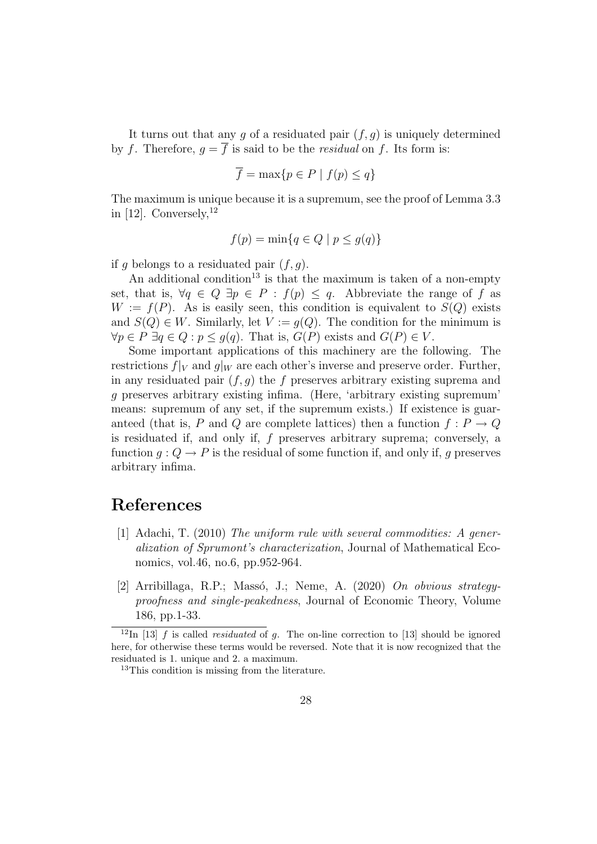It turns out that any g of a residuated pair  $(f, g)$  is uniquely determined by f. Therefore,  $q = \overline{f}$  is said to be the *residual* on f. Its form is:

$$
\overline{f} = \max\{p \in P \mid f(p) \le q\}
$$

The maximum is unique because it is a supremum, see the proof of Lemma 3.3 in [12]. Conversely,  $12$ 

$$
f(p) = \min\{q \in Q \mid p \le g(q)\}\
$$

if g belongs to a residuated pair  $(f, g)$ .

An additional condition<sup>13</sup> is that the maximum is taken of a non-empty set, that is,  $\forall q \in Q \exists p \in P : f(p) \leq q$ . Abbreviate the range of f as  $W := f(P)$ . As is easily seen, this condition is equivalent to  $S(Q)$  exists and  $S(Q) \in W$ . Similarly, let  $V := g(Q)$ . The condition for the minimum is  $\forall p \in P \; \exists q \in Q : p \leq g(q)$ . That is,  $G(P)$  exists and  $G(P) \in V$ .

Some important applications of this machinery are the following. The restrictions  $f|_V$  and  $g|_W$  are each other's inverse and preserve order. Further, in any residuated pair  $(f, q)$  the f preserves arbitrary existing suprema and g preserves arbitrary existing infima. (Here, 'arbitrary existing supremum' means: supremum of any set, if the supremum exists.) If existence is guaranteed (that is, P and Q are complete lattices) then a function  $f: P \to Q$ is residuated if, and only if, f preserves arbitrary suprema; conversely, a function  $g: Q \to P$  is the residual of some function if, and only if, g preserves arbitrary infima.

# References

- [1] Adachi, T. (2010) The uniform rule with several commodities: A generalization of Sprumont's characterization, Journal of Mathematical Economics, vol.46, no.6, pp.952-964.
- [2] Arribillaga, R.P.; Massó, J.; Neme, A. (2020) On obvious strategyproofness and single-peakedness, Journal of Economic Theory, Volume 186, pp.1-33.

<sup>&</sup>lt;sup>12</sup>In [13] f is called *residuated* of g. The on-line correction to [13] should be ignored here, for otherwise these terms would be reversed. Note that it is now recognized that the residuated is 1. unique and 2. a maximum.

<sup>&</sup>lt;sup>13</sup>This condition is missing from the literature.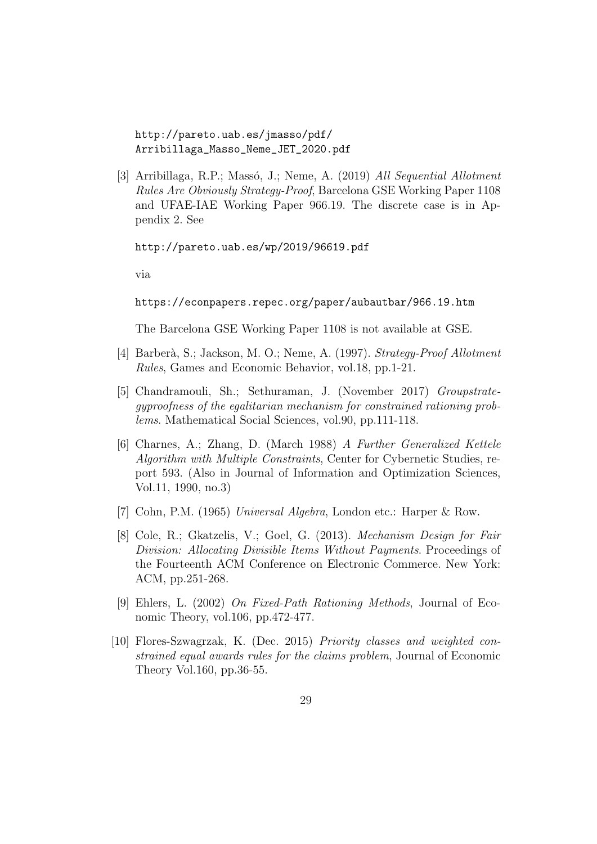http://pareto.uab.es/jmasso/pdf/ Arribillaga\_Masso\_Neme\_JET\_2020.pdf

[3] Arribillaga, R.P.; Massó, J.; Neme, A. (2019) All Sequential Allotment Rules Are Obviously Strategy-Proof, Barcelona GSE Working Paper 1108 and UFAE-IAE Working Paper 966.19. The discrete case is in Appendix 2. See

http://pareto.uab.es/wp/2019/96619.pdf

via

https://econpapers.repec.org/paper/aubautbar/966.19.htm

The Barcelona GSE Working Paper 1108 is not available at GSE.

- [4] Barber`a, S.; Jackson, M. O.; Neme, A. (1997). Strategy-Proof Allotment Rules, Games and Economic Behavior, vol.18, pp.1-21.
- [5] Chandramouli, Sh.; Sethuraman, J. (November 2017) Groupstrategyproofness of the egalitarian mechanism for constrained rationing problems. Mathematical Social Sciences, vol.90, pp.111-118.
- [6] Charnes, A.; Zhang, D. (March 1988) A Further Generalized Kettele Algorithm with Multiple Constraints, Center for Cybernetic Studies, report 593. (Also in Journal of Information and Optimization Sciences, Vol.11, 1990, no.3)
- [7] Cohn, P.M. (1965) Universal Algebra, London etc.: Harper & Row.
- [8] Cole, R.; Gkatzelis, V.; Goel, G. (2013). Mechanism Design for Fair Division: Allocating Divisible Items Without Payments. Proceedings of the Fourteenth ACM Conference on Electronic Commerce. New York: ACM, pp.251-268.
- [9] Ehlers, L. (2002) On Fixed-Path Rationing Methods, Journal of Economic Theory, vol.106, pp.472-477.
- [10] Flores-Szwagrzak, K. (Dec. 2015) Priority classes and weighted constrained equal awards rules for the claims problem, Journal of Economic Theory Vol.160, pp.36-55.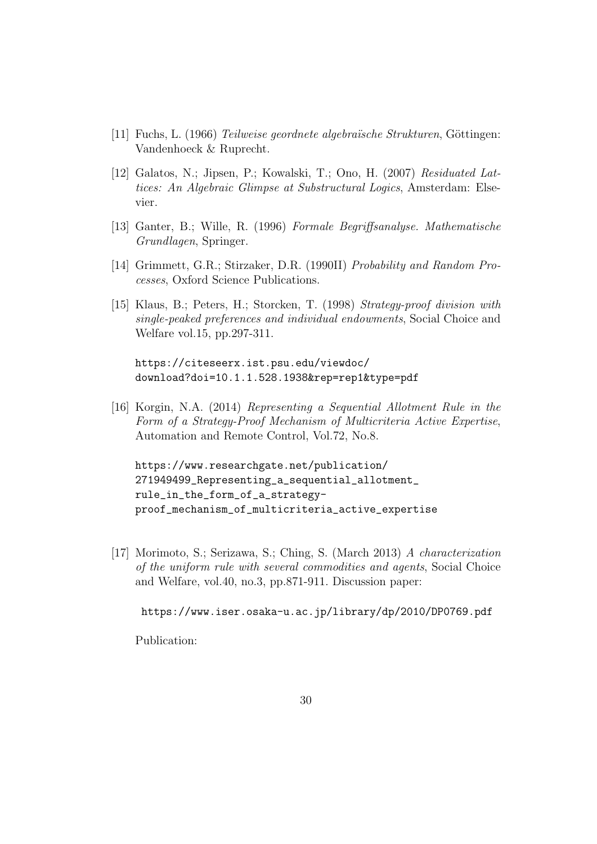- [11] Fuchs, L. (1966) *Teilweise geordnete algebraïsche Strukturen*, Göttingen: Vandenhoeck & Ruprecht.
- [12] Galatos, N.; Jipsen, P.; Kowalski, T.; Ono, H. (2007) Residuated Lattices: An Algebraic Glimpse at Substructural Logics, Amsterdam: Elsevier.
- [13] Ganter, B.; Wille, R. (1996) Formale Begriffsanalyse. Mathematische Grundlagen, Springer.
- [14] Grimmett, G.R.; Stirzaker, D.R. (1990II) Probability and Random Processes, Oxford Science Publications.
- [15] Klaus, B.; Peters, H.; Storcken, T. (1998) Strategy-proof division with single-peaked preferences and individual endowments, Social Choice and Welfare vol.15, pp.297-311.

https://citeseerx.ist.psu.edu/viewdoc/ download?doi=10.1.1.528.1938&rep=rep1&type=pdf

[16] Korgin, N.A. (2014) Representing a Sequential Allotment Rule in the Form of a Strategy-Proof Mechanism of Multicriteria Active Expertise, Automation and Remote Control, Vol.72, No.8.

https://www.researchgate.net/publication/ 271949499\_Representing\_a\_sequential\_allotment\_ rule\_in\_the\_form\_of\_a\_strategyproof\_mechanism\_of\_multicriteria\_active\_expertise

[17] Morimoto, S.; Serizawa, S.; Ching, S. (March 2013) A characterization of the uniform rule with several commodities and agents, Social Choice and Welfare, vol.40, no.3, pp.871-911. Discussion paper:

https://www.iser.osaka-u.ac.jp/library/dp/2010/DP0769.pdf

Publication: